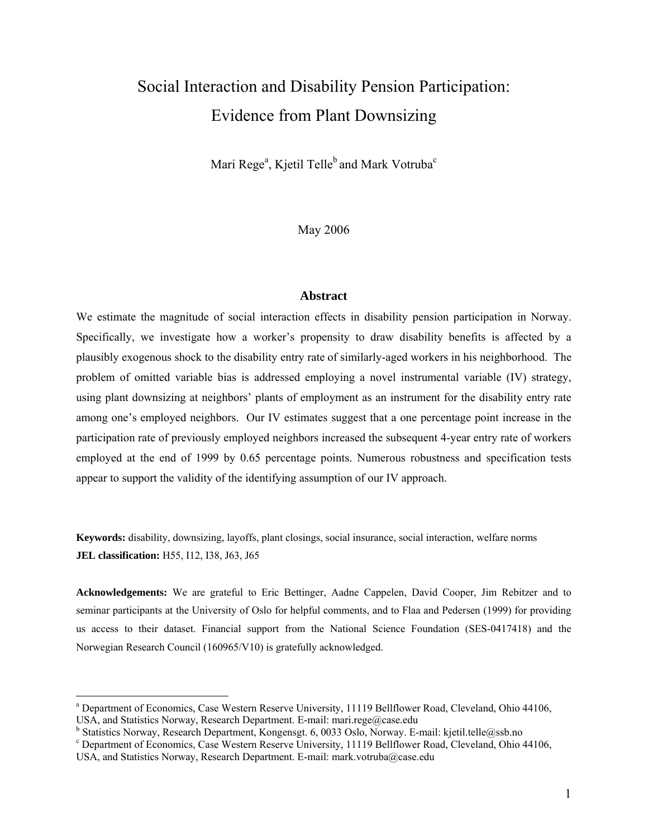# Social Interaction and Disability Pension Participation: Evidence from Plant Downsizing

Mari Rege $\rm^a$ , Kjetil Telle $\rm^b$  and Mark Votruba $\rm^c$ 

May 2006

#### **Abstract**

We estimate the magnitude of social interaction effects in disability pension participation in Norway. Specifically, we investigate how a worker's propensity to draw disability benefits is affected by a plausibly exogenous shock to the disability entry rate of similarly-aged workers in his neighborhood. The problem of omitted variable bias is addressed employing a novel instrumental variable (IV) strategy, using plant downsizing at neighbors' plants of employment as an instrument for the disability entry rate among one's employed neighbors. Our IV estimates suggest that a one percentage point increase in the participation rate of previously employed neighbors increased the subsequent 4-year entry rate of workers employed at the end of 1999 by 0.65 percentage points. Numerous robustness and specification tests appear to support the validity of the identifying assumption of our IV approach.

**Keywords:** disability, downsizing, layoffs, plant closings, social insurance, social interaction, welfare norms **JEL classification:** H55, I12, I38, J63, J65

**Acknowledgements:** We are grateful to Eric Bettinger, Aadne Cappelen, David Cooper, Jim Rebitzer and to seminar participants at the University of Oslo for helpful comments, and to Flaa and Pedersen (1999) for providing us access to their dataset. Financial support from the National Science Foundation (SES-0417418) and the Norwegian Research Council (160965/V10) is gratefully acknowledged.

 $\overline{a}$ 

<sup>&</sup>lt;sup>a</sup> Department of Economics, Case Western Reserve University, 11119 Bellflower Road, Cleveland, Ohio 44106, USA, and Statistics Norway, Research Department. E-mail: mari.rege@case.edu

<sup>&</sup>lt;sup>b</sup> Statistics Norway, Research Department, Kongensgt. 6, 0033 Oslo, Norway. E-mail: kjetil.telle@ssb.no<br><sup>c</sup> Department of Economics, Case Western Because University, 11110 Pallflower Boad, Claughad, Obje

Department of Economics, Case Western Reserve University, 11119 Bellflower Road, Cleveland, Ohio 44106, USA, and Statistics Norway, Research Department. E-mail: mark.votruba@case.edu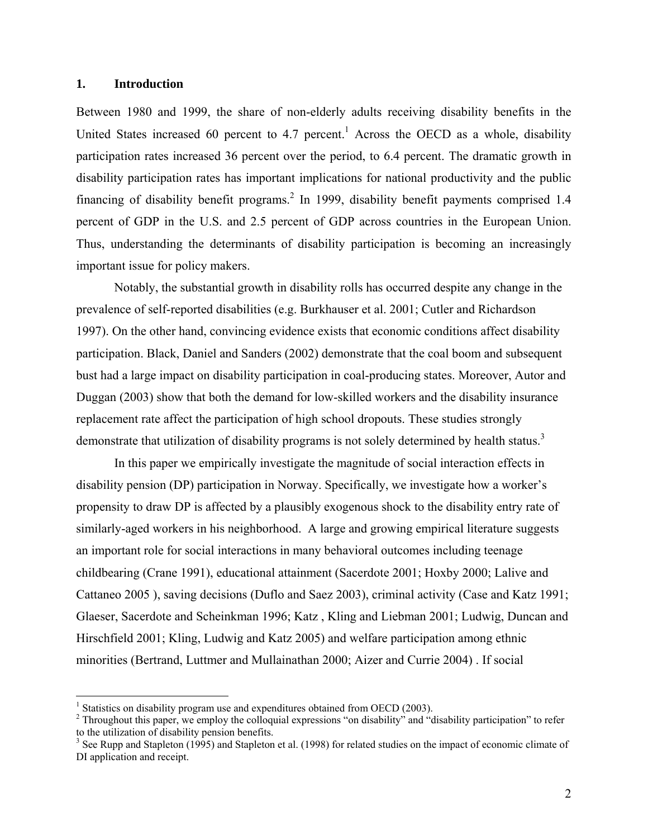#### **1. Introduction**

1

Between 1980 and 1999, the share of non-elderly adults receiving disability benefits in the United States increased 60 percent to 4.7 percent.<sup>1</sup> Across the OECD as a whole, disability participation rates increased 36 percent over the period, to 6.4 percent. The dramatic growth in disability participation rates has important implications for national productivity and the public financing of disability benefit programs.<sup>2</sup> In 1999, disability benefit payments comprised 1.4 percent of GDP in the U.S. and 2.5 percent of GDP across countries in the European Union. Thus, understanding the determinants of disability participation is becoming an increasingly important issue for policy makers.

Notably, the substantial growth in disability rolls has occurred despite any change in the prevalence of self-reported disabilities (e.g. Burkhauser et al. 2001; Cutler and Richardson 1997). On the other hand, convincing evidence exists that economic conditions affect disability participation. Black, Daniel and Sanders (2002) demonstrate that the coal boom and subsequent bust had a large impact on disability participation in coal-producing states. Moreover, Autor and Duggan (2003) show that both the demand for low-skilled workers and the disability insurance replacement rate affect the participation of high school dropouts. These studies strongly demonstrate that utilization of disability programs is not solely determined by health status.<sup>3</sup>

In this paper we empirically investigate the magnitude of social interaction effects in disability pension (DP) participation in Norway. Specifically, we investigate how a worker's propensity to draw DP is affected by a plausibly exogenous shock to the disability entry rate of similarly-aged workers in his neighborhood.A large and growing empirical literature suggests an important role for social interactions in many behavioral outcomes including teenage childbearing (Crane 1991), educational attainment (Sacerdote 2001; Hoxby 2000; Lalive and Cattaneo 2005 ), saving decisions (Duflo and Saez 2003), criminal activity (Case and Katz 1991; Glaeser, Sacerdote and Scheinkman 1996; Katz , Kling and Liebman 2001; Ludwig, Duncan and Hirschfield 2001; Kling, Ludwig and Katz 2005) and welfare participation among ethnic minorities (Bertrand, Luttmer and Mullainathan 2000; Aizer and Currie 2004) . If social

<sup>&</sup>lt;sup>1</sup> Statistics on disability program use and expenditures obtained from OECD (2003).

<sup>&</sup>lt;sup>2</sup> Throughout this paper, we employ the colloquial expressions "on disability" and "disability participation" to refer to the utilization of disability pension benefits.

 $3$  See Rupp and Stapleton (1995) and Stapleton et al. (1998) for related studies on the impact of economic climate of DI application and receipt.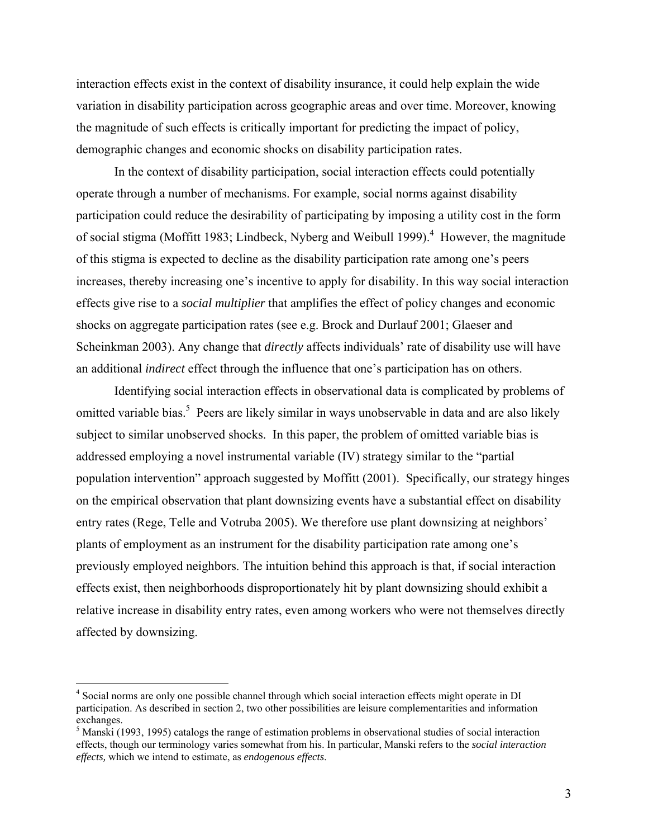interaction effects exist in the context of disability insurance, it could help explain the wide variation in disability participation across geographic areas and over time. Moreover, knowing the magnitude of such effects is critically important for predicting the impact of policy, demographic changes and economic shocks on disability participation rates.

In the context of disability participation, social interaction effects could potentially operate through a number of mechanisms. For example, social norms against disability participation could reduce the desirability of participating by imposing a utility cost in the form of social stigma (Moffitt 1983; Lindbeck, Nyberg and Weibull 1999).<sup>4</sup> However, the magnitude of this stigma is expected to decline as the disability participation rate among one's peers increases, thereby increasing one's incentive to apply for disability. In this way social interaction effects give rise to a *social multiplier* that amplifies the effect of policy changes and economic shocks on aggregate participation rates (see e.g. Brock and Durlauf 2001; Glaeser and Scheinkman 2003). Any change that *directly* affects individuals' rate of disability use will have an additional *indirect* effect through the influence that one's participation has on others.

Identifying social interaction effects in observational data is complicated by problems of omitted variable bias.<sup>5</sup> Peers are likely similar in ways unobservable in data and are also likely subject to similar unobserved shocks. In this paper, the problem of omitted variable bias is addressed employing a novel instrumental variable (IV) strategy similar to the "partial population intervention" approach suggested by Moffitt (2001). Specifically, our strategy hinges on the empirical observation that plant downsizing events have a substantial effect on disability entry rates (Rege, Telle and Votruba 2005). We therefore use plant downsizing at neighbors' plants of employment as an instrument for the disability participation rate among one's previously employed neighbors. The intuition behind this approach is that, if social interaction effects exist, then neighborhoods disproportionately hit by plant downsizing should exhibit a relative increase in disability entry rates, even among workers who were not themselves directly affected by downsizing.

 $\overline{a}$ 

<sup>&</sup>lt;sup>4</sup> Social norms are only one possible channel through which social interaction effects might operate in DI participation. As described in section 2, two other possibilities are leisure complementarities and information exchanges.

<sup>&</sup>lt;sup>5</sup> Manski (1993, 1995) catalogs the range of estimation problems in observational studies of social interaction effects, though our terminology varies somewhat from his. In particular, Manski refers to the *social interaction effects,* which we intend to estimate, as *endogenous effects*.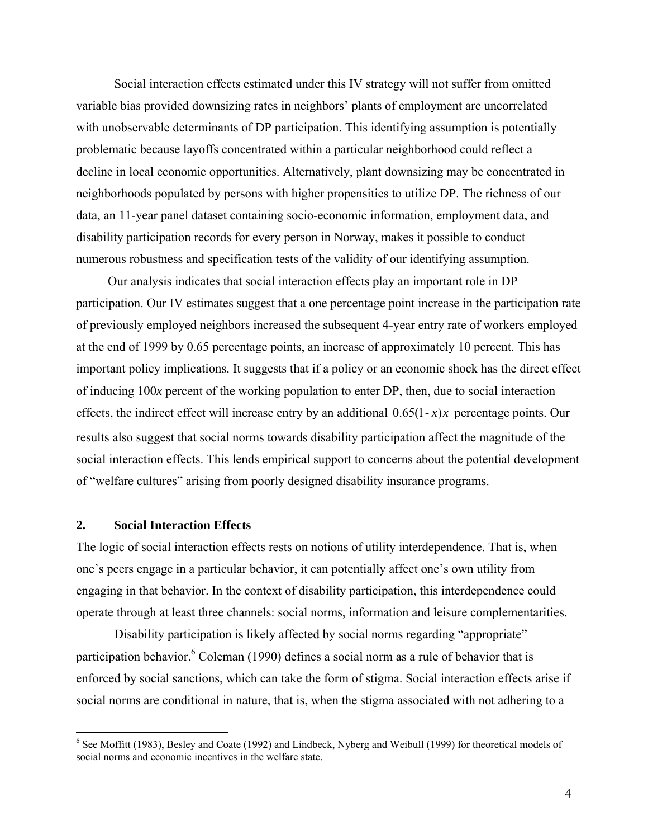Social interaction effects estimated under this IV strategy will not suffer from omitted variable bias provided downsizing rates in neighbors' plants of employment are uncorrelated with unobservable determinants of DP participation. This identifying assumption is potentially problematic because layoffs concentrated within a particular neighborhood could reflect a decline in local economic opportunities. Alternatively, plant downsizing may be concentrated in neighborhoods populated by persons with higher propensities to utilize DP. The richness of our data, an 11-year panel dataset containing socio-economic information, employment data, and disability participation records for every person in Norway, makes it possible to conduct numerous robustness and specification tests of the validity of our identifying assumption.

 Our analysis indicates that social interaction effects play an important role in DP participation. Our IV estimates suggest that a one percentage point increase in the participation rate of previously employed neighbors increased the subsequent 4-year entry rate of workers employed at the end of 1999 by 0.65 percentage points, an increase of approximately 10 percent. This has important policy implications. It suggests that if a policy or an economic shock has the direct effect of inducing 100*x* percent of the working population to enter DP, then, due to social interaction effects, the indirect effect will increase entry by an additional  $0.65(1-x)x$  percentage points. Our results also suggest that social norms towards disability participation affect the magnitude of the social interaction effects. This lends empirical support to concerns about the potential development of "welfare cultures" arising from poorly designed disability insurance programs.

## **2. Social Interaction Effects**

1

The logic of social interaction effects rests on notions of utility interdependence. That is, when one's peers engage in a particular behavior, it can potentially affect one's own utility from engaging in that behavior. In the context of disability participation, this interdependence could operate through at least three channels: social norms, information and leisure complementarities.

Disability participation is likely affected by social norms regarding "appropriate" participation behavior.<sup>6</sup> Coleman (1990) defines a social norm as a rule of behavior that is enforced by social sanctions, which can take the form of stigma. Social interaction effects arise if social norms are conditional in nature, that is, when the stigma associated with not adhering to a

<sup>&</sup>lt;sup>6</sup> See Moffitt (1983), Besley and Coate (1992) and Lindbeck, Nyberg and Weibull (1999) for theoretical models of social norms and economic incentives in the welfare state.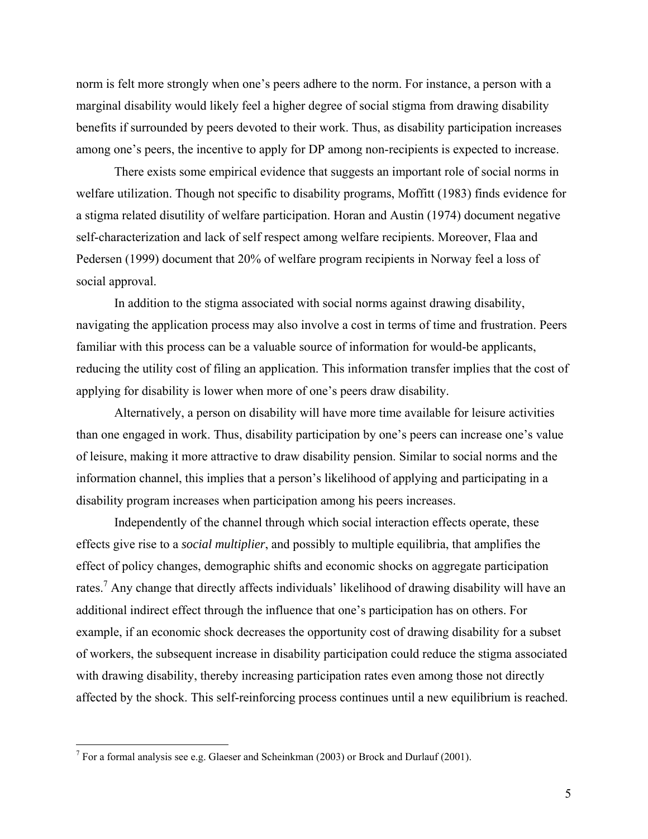norm is felt more strongly when one's peers adhere to the norm. For instance, a person with a marginal disability would likely feel a higher degree of social stigma from drawing disability benefits if surrounded by peers devoted to their work. Thus, as disability participation increases among one's peers, the incentive to apply for DP among non-recipients is expected to increase.

There exists some empirical evidence that suggests an important role of social norms in welfare utilization. Though not specific to disability programs, Moffitt (1983) finds evidence for a stigma related disutility of welfare participation. Horan and Austin (1974) document negative self-characterization and lack of self respect among welfare recipients. Moreover, Flaa and Pedersen (1999) document that 20% of welfare program recipients in Norway feel a loss of social approval.

In addition to the stigma associated with social norms against drawing disability, navigating the application process may also involve a cost in terms of time and frustration. Peers familiar with this process can be a valuable source of information for would-be applicants, reducing the utility cost of filing an application. This information transfer implies that the cost of applying for disability is lower when more of one's peers draw disability.

 Alternatively, a person on disability will have more time available for leisure activities than one engaged in work. Thus, disability participation by one's peers can increase one's value of leisure, making it more attractive to draw disability pension. Similar to social norms and the information channel, this implies that a person's likelihood of applying and participating in a disability program increases when participation among his peers increases.

Independently of the channel through which social interaction effects operate, these effects give rise to a *social multiplier*, and possibly to multiple equilibria, that amplifies the effect of policy changes, demographic shifts and economic shocks on aggregate participation rates.<sup>7</sup> Any change that directly affects individuals' likelihood of drawing disability will have an additional indirect effect through the influence that one's participation has on others. For example, if an economic shock decreases the opportunity cost of drawing disability for a subset of workers, the subsequent increase in disability participation could reduce the stigma associated with drawing disability, thereby increasing participation rates even among those not directly affected by the shock. This self-reinforcing process continues until a new equilibrium is reached.

<u>.</u>

<sup>&</sup>lt;sup>7</sup> For a formal analysis see e.g. Glaeser and Scheinkman (2003) or Brock and Durlauf (2001).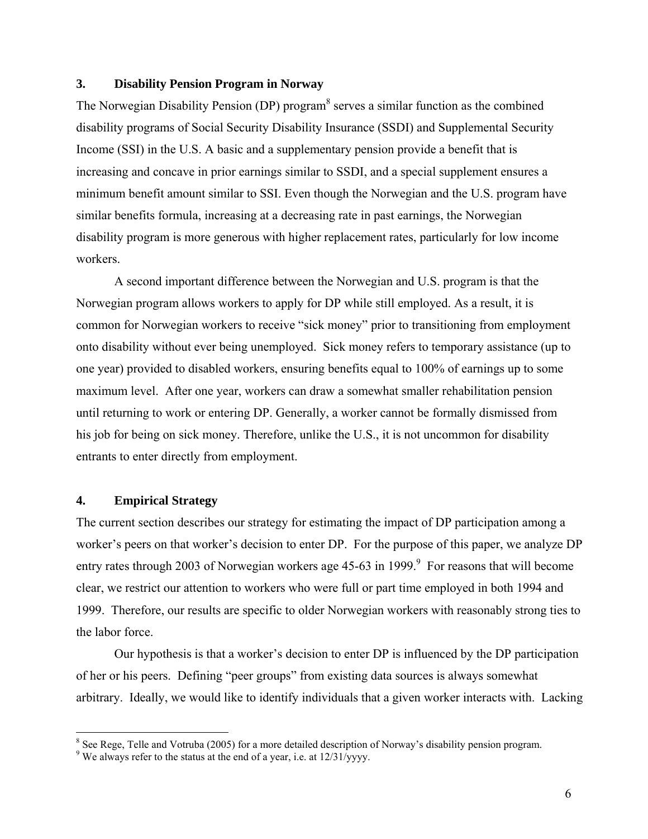## **3. Disability Pension Program in Norway**

The Norwegian Disability Pension (DP) program $\delta$  serves a similar function as the combined disability programs of Social Security Disability Insurance (SSDI) and Supplemental Security Income (SSI) in the U.S. A basic and a supplementary pension provide a benefit that is increasing and concave in prior earnings similar to SSDI, and a special supplement ensures a minimum benefit amount similar to SSI. Even though the Norwegian and the U.S. program have similar benefits formula, increasing at a decreasing rate in past earnings, the Norwegian disability program is more generous with higher replacement rates, particularly for low income workers.

A second important difference between the Norwegian and U.S. program is that the Norwegian program allows workers to apply for DP while still employed. As a result, it is common for Norwegian workers to receive "sick money" prior to transitioning from employment onto disability without ever being unemployed. Sick money refers to temporary assistance (up to one year) provided to disabled workers, ensuring benefits equal to 100% of earnings up to some maximum level. After one year, workers can draw a somewhat smaller rehabilitation pension until returning to work or entering DP. Generally, a worker cannot be formally dismissed from his job for being on sick money. Therefore, unlike the U.S., it is not uncommon for disability entrants to enter directly from employment.

## **4. Empirical Strategy**

 $\overline{a}$ 

The current section describes our strategy for estimating the impact of DP participation among a worker's peers on that worker's decision to enter DP. For the purpose of this paper, we analyze DP entry rates through 2003 of Norwegian workers age 45-63 in 1999. $\degree$  For reasons that will become clear, we restrict our attention to workers who were full or part time employed in both 1994 and 1999. Therefore, our results are specific to older Norwegian workers with reasonably strong ties to the labor force.

Our hypothesis is that a worker's decision to enter DP is influenced by the DP participation of her or his peers. Defining "peer groups" from existing data sources is always somewhat arbitrary. Ideally, we would like to identify individuals that a given worker interacts with. Lacking

<sup>&</sup>lt;sup>8</sup> See Rege, Telle and Votruba (2005) for a more detailed description of Norway's disability pension program.

<sup>&</sup>lt;sup>9</sup> We always refer to the status at the end of a year, i.e. at  $12/31$ /yyyy.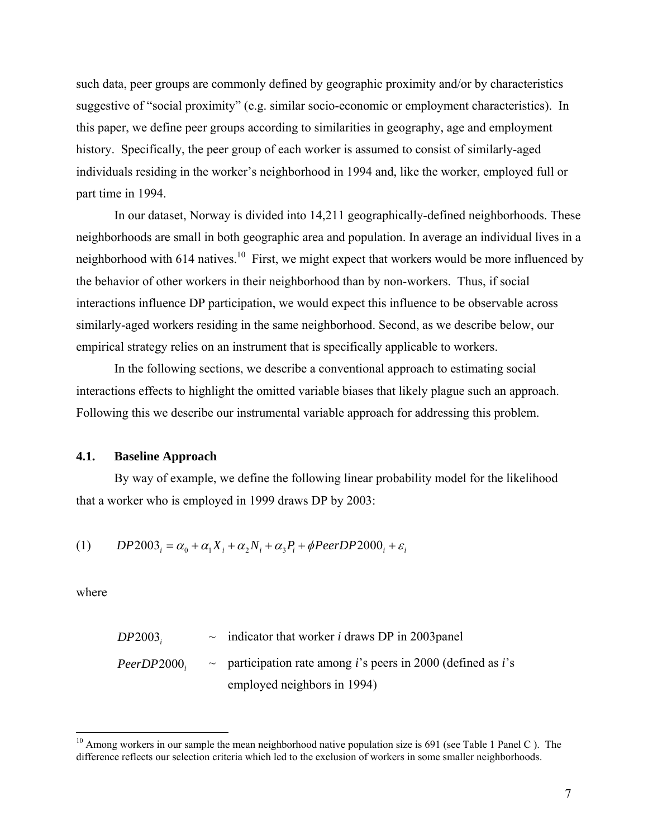such data, peer groups are commonly defined by geographic proximity and/or by characteristics suggestive of "social proximity" (e.g. similar socio-economic or employment characteristics). In this paper, we define peer groups according to similarities in geography, age and employment history. Specifically, the peer group of each worker is assumed to consist of similarly-aged individuals residing in the worker's neighborhood in 1994 and, like the worker, employed full or part time in 1994.

In our dataset, Norway is divided into 14,211 geographically-defined neighborhoods. These neighborhoods are small in both geographic area and population. In average an individual lives in a neighborhood with 614 natives.<sup>10</sup> First, we might expect that workers would be more influenced by the behavior of other workers in their neighborhood than by non-workers. Thus, if social interactions influence DP participation, we would expect this influence to be observable across similarly-aged workers residing in the same neighborhood. Second, as we describe below, our empirical strategy relies on an instrument that is specifically applicable to workers.

 In the following sections, we describe a conventional approach to estimating social interactions effects to highlight the omitted variable biases that likely plague such an approach. Following this we describe our instrumental variable approach for addressing this problem.

## **4.1. Baseline Approach**

By way of example, we define the following linear probability model for the likelihood that a worker who is employed in 1999 draws DP by 2003:

$$
(1) \qquad DP2003_i = \alpha_0 + \alpha_1 X_i + \alpha_2 N_i + \alpha_3 P_i + \phi PeerDP2000_i + \varepsilon_i
$$

where

1

| DP2003     | $\sim$ indicator that worker <i>i</i> draws DP in 2003panel                       |
|------------|-----------------------------------------------------------------------------------|
| PeerDP2000 | $\sim$ participation rate among <i>i</i> 's peers in 2000 (defined as <i>i</i> 's |
|            | employed neighbors in 1994)                                                       |

 $10$  Among workers in our sample the mean neighborhood native population size is 691 (see Table 1 Panel C). The difference reflects our selection criteria which led to the exclusion of workers in some smaller neighborhoods.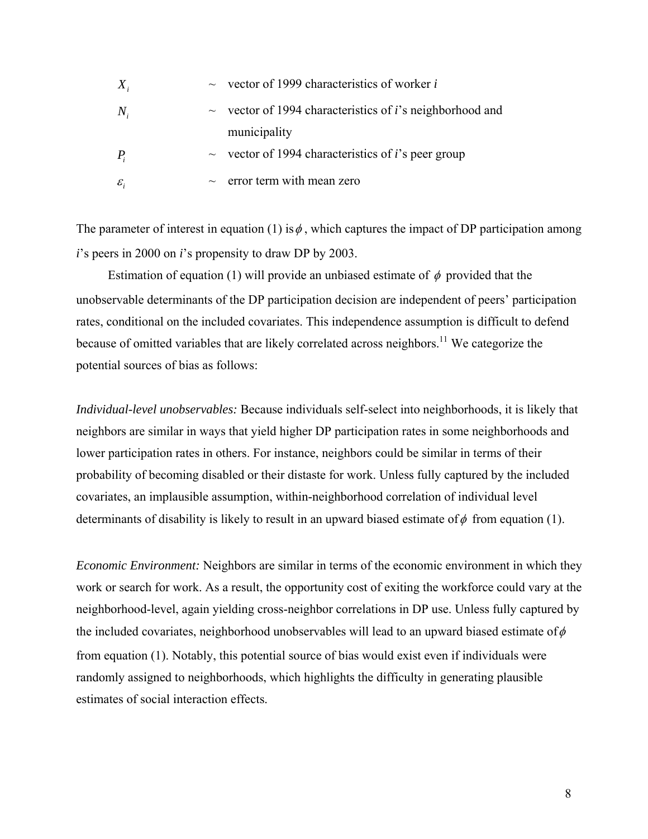| $X_i$             | $\sim$ vector of 1999 characteristics of worker i                     |
|-------------------|-----------------------------------------------------------------------|
| $N_{i}$           | $\sim$ vector of 1994 characteristics of <i>i</i> 's neighborhood and |
|                   | municipality                                                          |
| $P_i$             | $\sim$ vector of 1994 characteristics of <i>i</i> 's peer group       |
| $\mathcal{E}_{i}$ | $\sim$ error term with mean zero                                      |

The parameter of interest in equation (1) is  $\phi$ , which captures the impact of DP participation among *i*'s peers in 2000 on *i*'s propensity to draw DP by 2003.

Estimation of equation (1) will provide an unbiased estimate of  $\phi$  provided that the unobservable determinants of the DP participation decision are independent of peers' participation rates, conditional on the included covariates. This independence assumption is difficult to defend because of omitted variables that are likely correlated across neighbors.<sup>11</sup> We categorize the potential sources of bias as follows:

*Individual-level unobservables:* Because individuals self-select into neighborhoods, it is likely that neighbors are similar in ways that yield higher DP participation rates in some neighborhoods and lower participation rates in others. For instance, neighbors could be similar in terms of their probability of becoming disabled or their distaste for work. Unless fully captured by the included covariates, an implausible assumption, within-neighborhood correlation of individual level determinants of disability is likely to result in an upward biased estimate of  $\phi$  from equation (1).

*Economic Environment:* Neighbors are similar in terms of the economic environment in which they work or search for work. As a result, the opportunity cost of exiting the workforce could vary at the neighborhood-level, again yielding cross-neighbor correlations in DP use. Unless fully captured by the included covariates, neighborhood unobservables will lead to an upward biased estimate of  $\phi$ from equation (1). Notably, this potential source of bias would exist even if individuals were randomly assigned to neighborhoods, which highlights the difficulty in generating plausible estimates of social interaction effects.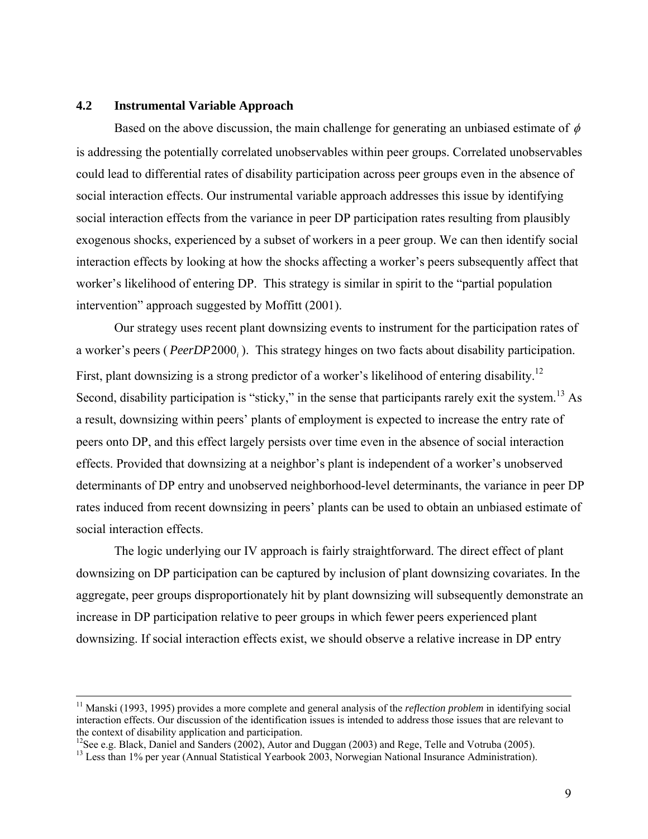## **4.2 Instrumental Variable Approach**

Based on the above discussion, the main challenge for generating an unbiased estimate of  $\phi$ is addressing the potentially correlated unobservables within peer groups. Correlated unobservables could lead to differential rates of disability participation across peer groups even in the absence of social interaction effects. Our instrumental variable approach addresses this issue by identifying social interaction effects from the variance in peer DP participation rates resulting from plausibly exogenous shocks, experienced by a subset of workers in a peer group. We can then identify social interaction effects by looking at how the shocks affecting a worker's peers subsequently affect that worker's likelihood of entering DP. This strategy is similar in spirit to the "partial population intervention" approach suggested by Moffitt (2001).

Our strategy uses recent plant downsizing events to instrument for the participation rates of a worker's peers (*PeerDP* 2000.). This strategy hinges on two facts about disability participation. First, plant downsizing is a strong predictor of a worker's likelihood of entering disability.<sup>12</sup> Second, disability participation is "sticky," in the sense that participants rarely exit the system.<sup>13</sup> As a result, downsizing within peers' plants of employment is expected to increase the entry rate of peers onto DP, and this effect largely persists over time even in the absence of social interaction effects. Provided that downsizing at a neighbor's plant is independent of a worker's unobserved determinants of DP entry and unobserved neighborhood-level determinants, the variance in peer DP rates induced from recent downsizing in peers' plants can be used to obtain an unbiased estimate of social interaction effects.

The logic underlying our IV approach is fairly straightforward. The direct effect of plant downsizing on DP participation can be captured by inclusion of plant downsizing covariates. In the aggregate, peer groups disproportionately hit by plant downsizing will subsequently demonstrate an increase in DP participation relative to peer groups in which fewer peers experienced plant downsizing. If social interaction effects exist, we should observe a relative increase in DP entry

 <sup>11</sup> Manski (1993, 1995) provides a more complete and general analysis of the *reflection problem* in identifying social interaction effects. Our discussion of the identification issues is intended to address those issues that are relevant to the context of disability application and participation.

<sup>&</sup>lt;sup>12</sup>See e.g. Black, Daniel and Sanders (2002), Autor and Duggan (2003) and Rege, Telle and Votruba (2005).

<sup>&</sup>lt;sup>13</sup> Less than 1% per year (Annual Statistical Yearbook 2003, Norwegian National Insurance Administration).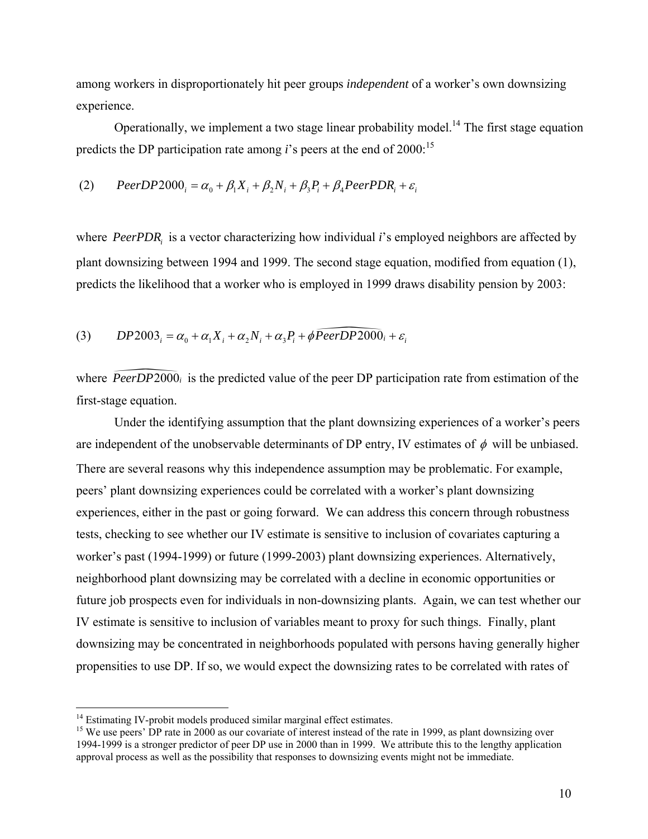among workers in disproportionately hit peer groups *independent* of a worker's own downsizing experience.

Operationally, we implement a two stage linear probability model.<sup>14</sup> The first stage equation predicts the DP participation rate among  $i$ 's peers at the end of 2000:<sup>15</sup>

(2) 
$$
PeerDP2000_i = \alpha_0 + \beta_1 X_i + \beta_2 N_i + \beta_3 P_i + \beta_4 PeerPDR_i + \varepsilon_i
$$

where *PeerPDR*<sub>i</sub> is a vector characterizing how individual *i*'s employed neighbors are affected by plant downsizing between 1994 and 1999. The second stage equation, modified from equation (1), predicts the likelihood that a worker who is employed in 1999 draws disability pension by 2003:

(3) 
$$
DP2003_i = \alpha_0 + \alpha_1 X_i + \alpha_2 N_i + \alpha_3 P_i + \phi \overline{PeerDP2000_i} + \varepsilon_i
$$

where  $PeerDP2000<sub>i</sub>$  is the predicted value of the peer DP participation rate from estimation of the first-stage equation.

Under the identifying assumption that the plant downsizing experiences of a worker's peers are independent of the unobservable determinants of DP entry, IV estimates of  $\phi$  will be unbiased. There are several reasons why this independence assumption may be problematic. For example, peers' plant downsizing experiences could be correlated with a worker's plant downsizing experiences, either in the past or going forward. We can address this concern through robustness tests, checking to see whether our IV estimate is sensitive to inclusion of covariates capturing a worker's past (1994-1999) or future (1999-2003) plant downsizing experiences. Alternatively, neighborhood plant downsizing may be correlated with a decline in economic opportunities or future job prospects even for individuals in non-downsizing plants. Again, we can test whether our IV estimate is sensitive to inclusion of variables meant to proxy for such things. Finally, plant downsizing may be concentrated in neighborhoods populated with persons having generally higher propensities to use DP. If so, we would expect the downsizing rates to be correlated with rates of

<u>.</u>

 $14$  Estimating IV-probit models produced similar marginal effect estimates.

<sup>&</sup>lt;sup>15</sup> We use peers' DP rate in 2000 as our covariate of interest instead of the rate in 1999, as plant downsizing over 1994-1999 is a stronger predictor of peer DP use in 2000 than in 1999. We attribute this to the lengthy application approval process as well as the possibility that responses to downsizing events might not be immediate.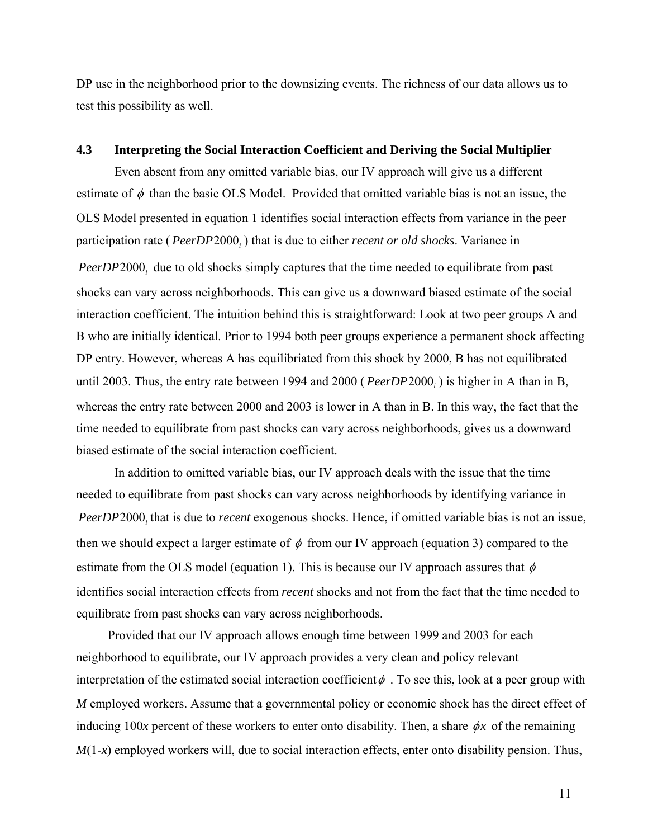DP use in the neighborhood prior to the downsizing events. The richness of our data allows us to test this possibility as well.

#### **4.3 Interpreting the Social Interaction Coefficient and Deriving the Social Multiplier**

 Even absent from any omitted variable bias, our IV approach will give us a different estimate of  $\phi$  than the basic OLS Model. Provided that omitted variable bias is not an issue, the OLS Model presented in equation 1 identifies social interaction effects from variance in the peer participation rate (*PeerDP* 2000<sub>*i*</sub>) that is due to either *recent or old shocks*. Variance in

PeerDP 2000<sub>i</sub> due to old shocks simply captures that the time needed to equilibrate from past shocks can vary across neighborhoods. This can give us a downward biased estimate of the social interaction coefficient. The intuition behind this is straightforward: Look at two peer groups A and B who are initially identical. Prior to 1994 both peer groups experience a permanent shock affecting DP entry. However, whereas A has equilibriated from this shock by 2000, B has not equilibrated until 2003. Thus, the entry rate between 1994 and 2000 (*PeerDP* 2000<sub>*i*</sub>) is higher in A than in B, whereas the entry rate between 2000 and 2003 is lower in A than in B. In this way, the fact that the time needed to equilibrate from past shocks can vary across neighborhoods, gives us a downward biased estimate of the social interaction coefficient.

In addition to omitted variable bias, our IV approach deals with the issue that the time needed to equilibrate from past shocks can vary across neighborhoods by identifying variance in *PeerDP* 2000, that is due to *recent* exogenous shocks. Hence, if omitted variable bias is not an issue, then we should expect a larger estimate of  $\phi$  from our IV approach (equation 3) compared to the estimate from the OLS model (equation 1). This is because our IV approach assures that  $\phi$ identifies social interaction effects from *recent* shocks and not from the fact that the time needed to equilibrate from past shocks can vary across neighborhoods.

 Provided that our IV approach allows enough time between 1999 and 2003 for each neighborhood to equilibrate, our IV approach provides a very clean and policy relevant interpretation of the estimated social interaction coefficient  $\phi$ . To see this, look at a peer group with *M* employed workers. Assume that a governmental policy or economic shock has the direct effect of inducing 100*x* percent of these workers to enter onto disability. Then, a share  $\phi x$  of the remaining *M*(1-*x*) employed workers will, due to social interaction effects, enter onto disability pension. Thus,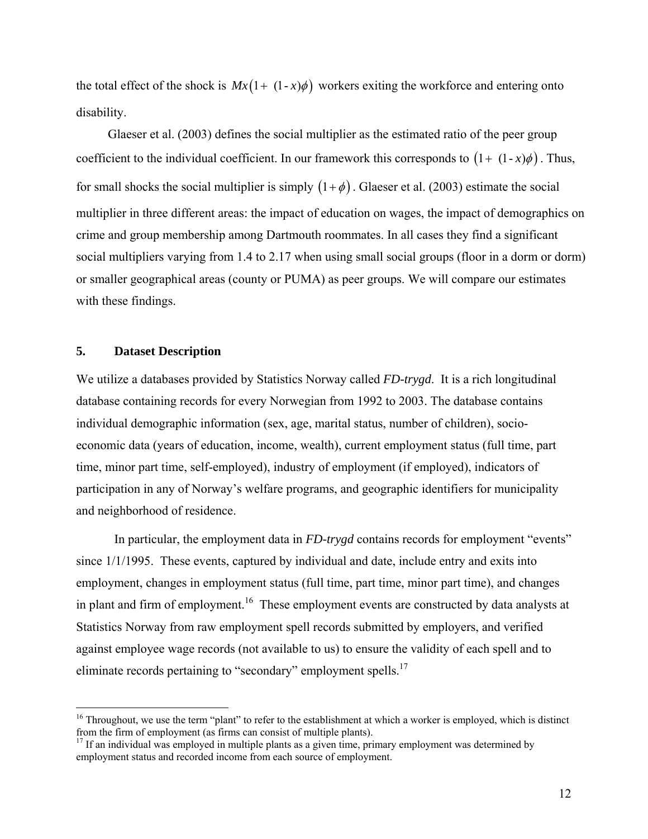the total effect of the shock is  $Mx(1 + (1-x)\phi)$  workers exiting the workforce and entering onto disability.

 Glaeser et al. (2003) defines the social multiplier as the estimated ratio of the peer group coefficient to the individual coefficient. In our framework this corresponds to  $(1 + (1 - x)\phi)$ . Thus, for small shocks the social multiplier is simply  $(1+\phi)$ . Glaeser et al. (2003) estimate the social multiplier in three different areas: the impact of education on wages, the impact of demographics on crime and group membership among Dartmouth roommates. In all cases they find a significant social multipliers varying from 1.4 to 2.17 when using small social groups (floor in a dorm or dorm) or smaller geographical areas (county or PUMA) as peer groups. We will compare our estimates with these findings.

## **5. Dataset Description**

<u>.</u>

We utilize a databases provided by Statistics Norway called *FD-trygd*. It is a rich longitudinal database containing records for every Norwegian from 1992 to 2003. The database contains individual demographic information (sex, age, marital status, number of children), socioeconomic data (years of education, income, wealth), current employment status (full time, part time, minor part time, self-employed), industry of employment (if employed), indicators of participation in any of Norway's welfare programs, and geographic identifiers for municipality and neighborhood of residence.

 In particular, the employment data in *FD-trygd* contains records for employment "events" since 1/1/1995. These events, captured by individual and date, include entry and exits into employment, changes in employment status (full time, part time, minor part time), and changes in plant and firm of employment.<sup>16</sup> These employment events are constructed by data analysts at Statistics Norway from raw employment spell records submitted by employers, and verified against employee wage records (not available to us) to ensure the validity of each spell and to eliminate records pertaining to "secondary" employment spells.<sup>17</sup>

 $16$  Throughout, we use the term "plant" to refer to the establishment at which a worker is employed, which is distinct from the firm of employment (as firms can consist of multiple plants).

<sup>&</sup>lt;sup>17</sup> If an individual was employed in multiple plants as a given time, primary employment was determined by employment status and recorded income from each source of employment.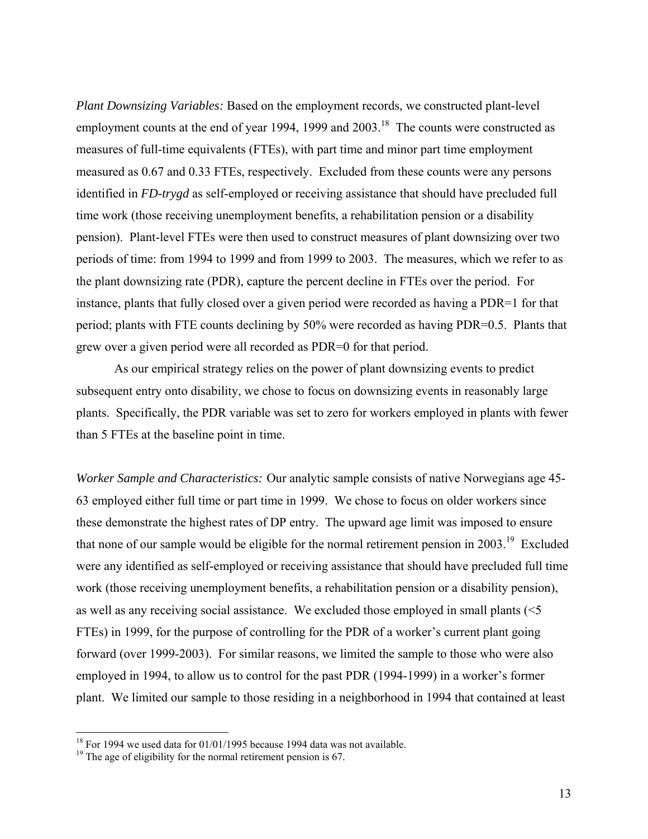*Plant Downsizing Variables:* Based on the employment records, we constructed plant-level employment counts at the end of year 1994, 1999 and 2003.<sup>18</sup> The counts were constructed as measures of full-time equivalents (FTEs), with part time and minor part time employment measured as 0.67 and 0.33 FTEs, respectively. Excluded from these counts were any persons identified in *FD-trygd* as self-employed or receiving assistance that should have precluded full time work (those receiving unemployment benefits, a rehabilitation pension or a disability pension). Plant-level FTEs were then used to construct measures of plant downsizing over two periods of time: from 1994 to 1999 and from 1999 to 2003. The measures, which we refer to as the plant downsizing rate (PDR), capture the percent decline in FTEs over the period. For instance, plants that fully closed over a given period were recorded as having a PDR=1 for that period; plants with FTE counts declining by 50% were recorded as having PDR=0.5. Plants that grew over a given period were all recorded as PDR=0 for that period.

 As our empirical strategy relies on the power of plant downsizing events to predict subsequent entry onto disability, we chose to focus on downsizing events in reasonably large plants. Specifically, the PDR variable was set to zero for workers employed in plants with fewer than 5 FTEs at the baseline point in time.

*Worker Sample and Characteristics:* Our analytic sample consists of native Norwegians age 45- 63 employed either full time or part time in 1999. We chose to focus on older workers since these demonstrate the highest rates of DP entry. The upward age limit was imposed to ensure that none of our sample would be eligible for the normal retirement pension in 2003.19 Excluded were any identified as self-employed or receiving assistance that should have precluded full time work (those receiving unemployment benefits, a rehabilitation pension or a disability pension), as well as any receiving social assistance. We excluded those employed in small plants (<5 FTEs) in 1999, for the purpose of controlling for the PDR of a worker's current plant going forward (over 1999-2003). For similar reasons, we limited the sample to those who were also employed in 1994, to allow us to control for the past PDR (1994-1999) in a worker's former plant. We limited our sample to those residing in a neighborhood in 1994 that contained at least

1

 $18$  For 1994 we used data for 01/01/1995 because 1994 data was not available.

 $19$ <sup>19</sup> The age of eligibility for the normal retirement pension is 67.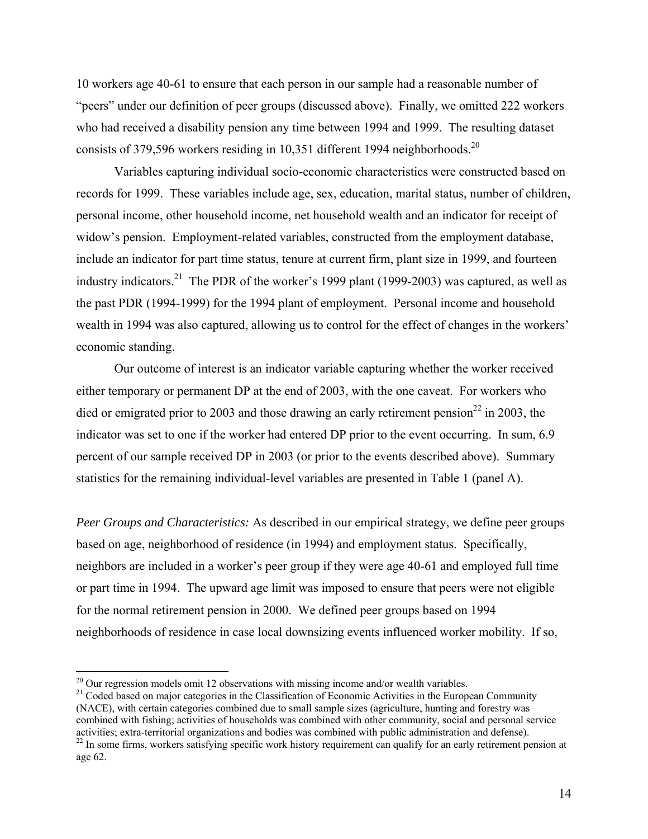10 workers age 40-61 to ensure that each person in our sample had a reasonable number of "peers" under our definition of peer groups (discussed above). Finally, we omitted 222 workers who had received a disability pension any time between 1994 and 1999. The resulting dataset consists of 379,596 workers residing in 10,351 different 1994 neighborhoods.<sup>20</sup>

 Variables capturing individual socio-economic characteristics were constructed based on records for 1999. These variables include age, sex, education, marital status, number of children, personal income, other household income, net household wealth and an indicator for receipt of widow's pension. Employment-related variables, constructed from the employment database, include an indicator for part time status, tenure at current firm, plant size in 1999, and fourteen industry indicators.<sup>21</sup> The PDR of the worker's 1999 plant (1999-2003) was captured, as well as the past PDR (1994-1999) for the 1994 plant of employment. Personal income and household wealth in 1994 was also captured, allowing us to control for the effect of changes in the workers' economic standing.

 Our outcome of interest is an indicator variable capturing whether the worker received either temporary or permanent DP at the end of 2003, with the one caveat. For workers who died or emigrated prior to 2003 and those drawing an early retirement pension<sup>22</sup> in 2003, the indicator was set to one if the worker had entered DP prior to the event occurring. In sum, 6.9 percent of our sample received DP in 2003 (or prior to the events described above). Summary statistics for the remaining individual-level variables are presented in Table 1 (panel A).

*Peer Groups and Characteristics:* As described in our empirical strategy, we define peer groups based on age, neighborhood of residence (in 1994) and employment status. Specifically, neighbors are included in a worker's peer group if they were age 40-61 and employed full time or part time in 1994. The upward age limit was imposed to ensure that peers were not eligible for the normal retirement pension in 2000. We defined peer groups based on 1994 neighborhoods of residence in case local downsizing events influenced worker mobility. If so,

 $\overline{a}$ 

<sup>21</sup> Coded based on major categories in the Classification of Economic Activities in the European Community (NACE), with certain categories combined due to small sample sizes (agriculture, hunting and forestry was combined with fishing; activities of households was combined with other community, social and personal service<br>activities; extra-territorial organizations and bodies was combined with public administration and defense).

 $20$  Our regression models omit 12 observations with missing income and/or wealth variables.

<sup>&</sup>lt;sup>22</sup> In some firms, workers satisfying specific work history requirement can qualify for an early retirement pension at age 62.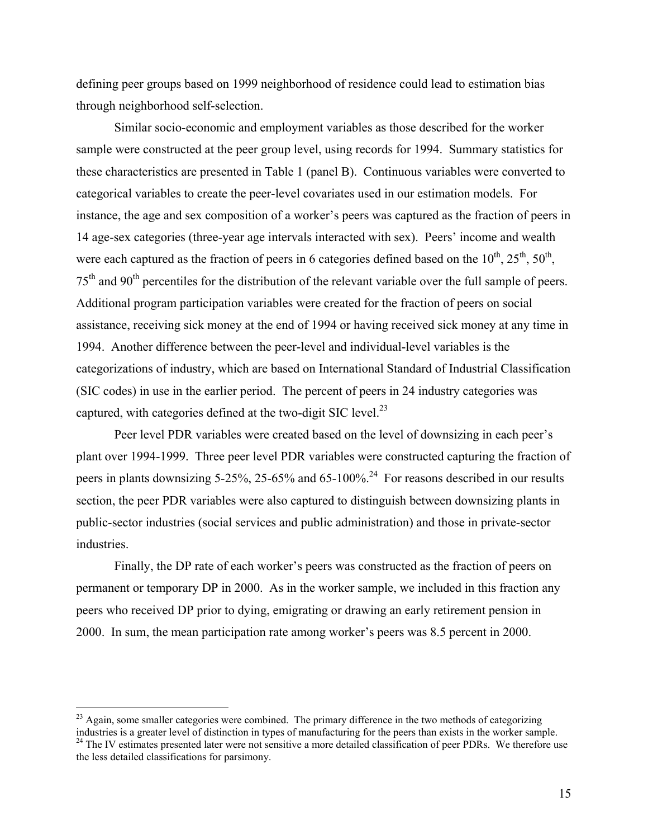defining peer groups based on 1999 neighborhood of residence could lead to estimation bias through neighborhood self-selection.

Similar socio-economic and employment variables as those described for the worker sample were constructed at the peer group level, using records for 1994. Summary statistics for these characteristics are presented in Table 1 (panel B). Continuous variables were converted to categorical variables to create the peer-level covariates used in our estimation models. For instance, the age and sex composition of a worker's peers was captured as the fraction of peers in 14 age-sex categories (three-year age intervals interacted with sex). Peers' income and wealth were each captured as the fraction of peers in 6 categories defined based on the  $10^{th}$ ,  $25^{th}$ ,  $50^{th}$ , 75th and 90th percentiles for the distribution of the relevant variable over the full sample of peers. Additional program participation variables were created for the fraction of peers on social assistance, receiving sick money at the end of 1994 or having received sick money at any time in 1994. Another difference between the peer-level and individual-level variables is the categorizations of industry, which are based on International Standard of Industrial Classification (SIC codes) in use in the earlier period. The percent of peers in 24 industry categories was captured, with categories defined at the two-digit SIC level.<sup>23</sup>

Peer level PDR variables were created based on the level of downsizing in each peer's plant over 1994-1999. Three peer level PDR variables were constructed capturing the fraction of peers in plants downsizing 5-25%, 25-65% and 65-100%.<sup>24</sup> For reasons described in our results section, the peer PDR variables were also captured to distinguish between downsizing plants in public-sector industries (social services and public administration) and those in private-sector industries.

Finally, the DP rate of each worker's peers was constructed as the fraction of peers on permanent or temporary DP in 2000. As in the worker sample, we included in this fraction any peers who received DP prior to dying, emigrating or drawing an early retirement pension in 2000. In sum, the mean participation rate among worker's peers was 8.5 percent in 2000.

 $\overline{a}$ 

 $^{23}$  Again, some smaller categories were combined. The primary difference in the two methods of categorizing industries is a greater level of distinction in types of manufacturing for the peers than exists in the worker sample. <sup>24</sup> The IV estimates presented later were not sensitive a more detailed classification of peer PDRs. We therefore use the less detailed classifications for parsimony.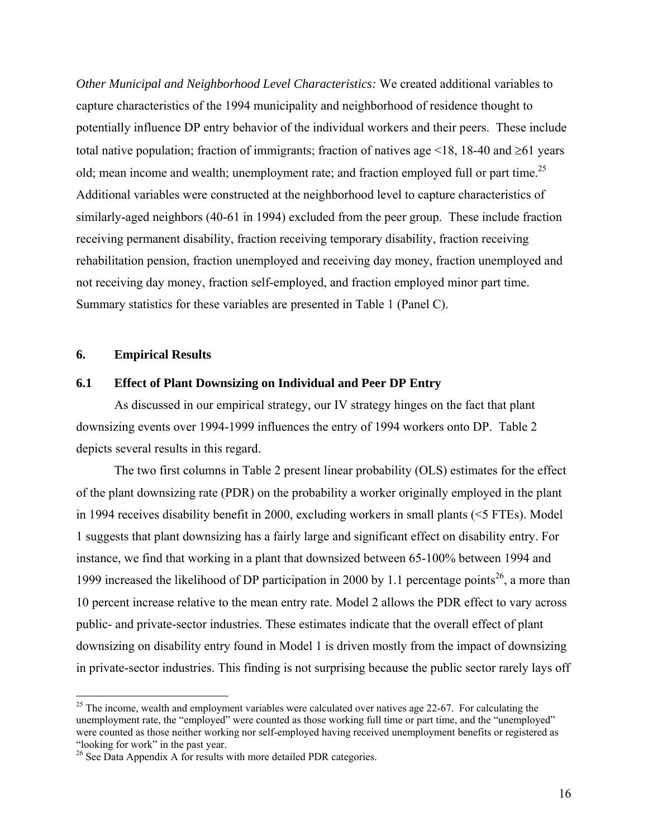*Other Municipal and Neighborhood Level Characteristics:* We created additional variables to capture characteristics of the 1994 municipality and neighborhood of residence thought to potentially influence DP entry behavior of the individual workers and their peers. These include total native population; fraction of immigrants; fraction of natives age  $\leq 18$ , 18-40 and  $\geq 61$  years old; mean income and wealth; unemployment rate; and fraction employed full or part time.<sup>25</sup> Additional variables were constructed at the neighborhood level to capture characteristics of similarly-aged neighbors (40-61 in 1994) excluded from the peer group. These include fraction receiving permanent disability, fraction receiving temporary disability, fraction receiving rehabilitation pension, fraction unemployed and receiving day money, fraction unemployed and not receiving day money, fraction self-employed, and fraction employed minor part time. Summary statistics for these variables are presented in Table 1 (Panel C).

#### **6. Empirical Results**

 $\overline{a}$ 

#### **6.1 Effect of Plant Downsizing on Individual and Peer DP Entry**

As discussed in our empirical strategy, our IV strategy hinges on the fact that plant downsizing events over 1994-1999 influences the entry of 1994 workers onto DP. Table 2 depicts several results in this regard.

The two first columns in Table 2 present linear probability (OLS) estimates for the effect of the plant downsizing rate (PDR) on the probability a worker originally employed in the plant in 1994 receives disability benefit in 2000, excluding workers in small plants (<5 FTEs). Model 1 suggests that plant downsizing has a fairly large and significant effect on disability entry. For instance, we find that working in a plant that downsized between 65-100% between 1994 and 1999 increased the likelihood of DP participation in 2000 by 1.1 percentage points<sup>26</sup>, a more than 10 percent increase relative to the mean entry rate. Model 2 allows the PDR effect to vary across public- and private-sector industries. These estimates indicate that the overall effect of plant downsizing on disability entry found in Model 1 is driven mostly from the impact of downsizing in private-sector industries. This finding is not surprising because the public sector rarely lays off

 $25$  The income, wealth and employment variables were calculated over natives age 22-67. For calculating the unemployment rate, the "employed" were counted as those working full time or part time, and the "unemployed" were counted as those neither working nor self-employed having received unemployment benefits or registered as "looking for work" in the past year.

<sup>&</sup>lt;sup>26</sup> See Data Appendix A for results with more detailed PDR categories.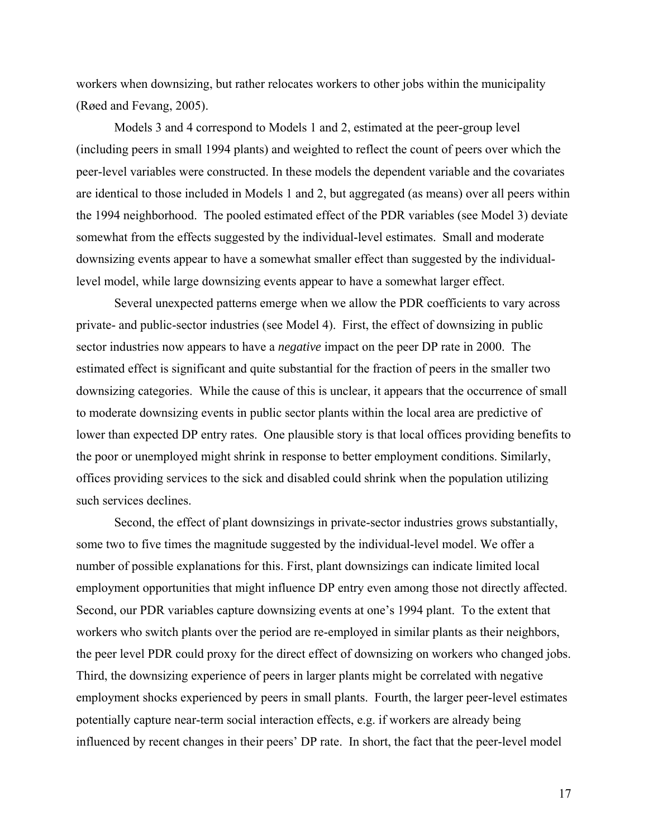workers when downsizing, but rather relocates workers to other jobs within the municipality (Røed and Fevang, 2005).

 Models 3 and 4 correspond to Models 1 and 2, estimated at the peer-group level (including peers in small 1994 plants) and weighted to reflect the count of peers over which the peer-level variables were constructed. In these models the dependent variable and the covariates are identical to those included in Models 1 and 2, but aggregated (as means) over all peers within the 1994 neighborhood. The pooled estimated effect of the PDR variables (see Model 3) deviate somewhat from the effects suggested by the individual-level estimates. Small and moderate downsizing events appear to have a somewhat smaller effect than suggested by the individuallevel model, while large downsizing events appear to have a somewhat larger effect.

Several unexpected patterns emerge when we allow the PDR coefficients to vary across private- and public-sector industries (see Model 4). First, the effect of downsizing in public sector industries now appears to have a *negative* impact on the peer DP rate in 2000. The estimated effect is significant and quite substantial for the fraction of peers in the smaller two downsizing categories. While the cause of this is unclear, it appears that the occurrence of small to moderate downsizing events in public sector plants within the local area are predictive of lower than expected DP entry rates. One plausible story is that local offices providing benefits to the poor or unemployed might shrink in response to better employment conditions. Similarly, offices providing services to the sick and disabled could shrink when the population utilizing such services declines.

Second, the effect of plant downsizings in private-sector industries grows substantially, some two to five times the magnitude suggested by the individual-level model. We offer a number of possible explanations for this. First, plant downsizings can indicate limited local employment opportunities that might influence DP entry even among those not directly affected. Second, our PDR variables capture downsizing events at one's 1994 plant. To the extent that workers who switch plants over the period are re-employed in similar plants as their neighbors, the peer level PDR could proxy for the direct effect of downsizing on workers who changed jobs. Third, the downsizing experience of peers in larger plants might be correlated with negative employment shocks experienced by peers in small plants. Fourth, the larger peer-level estimates potentially capture near-term social interaction effects, e.g. if workers are already being influenced by recent changes in their peers' DP rate. In short, the fact that the peer-level model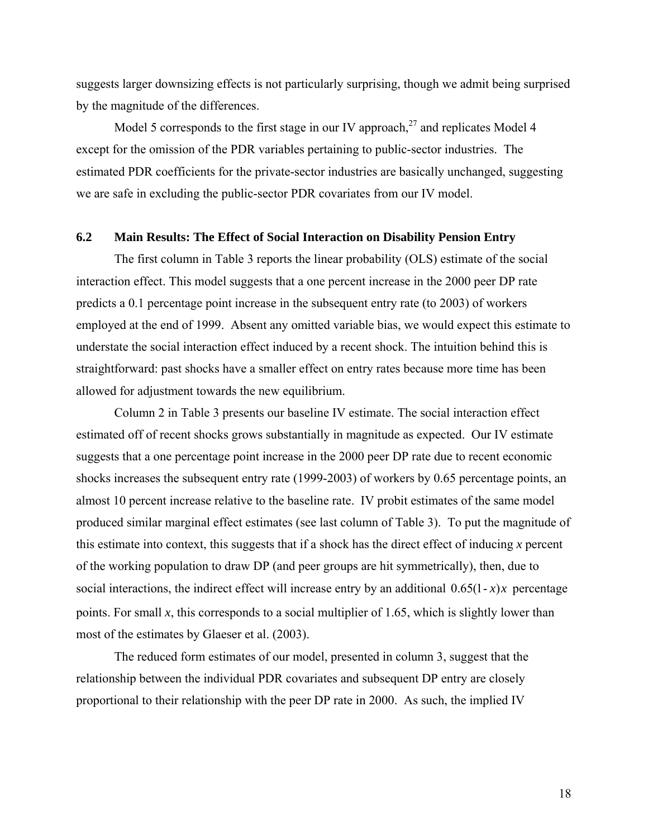suggests larger downsizing effects is not particularly surprising, though we admit being surprised by the magnitude of the differences.

Model 5 corresponds to the first stage in our IV approach, $27$  and replicates Model 4 except for the omission of the PDR variables pertaining to public-sector industries. The estimated PDR coefficients for the private-sector industries are basically unchanged, suggesting we are safe in excluding the public-sector PDR covariates from our IV model.

#### **6.2 Main Results: The Effect of Social Interaction on Disability Pension Entry**

The first column in Table 3 reports the linear probability (OLS) estimate of the social interaction effect. This model suggests that a one percent increase in the 2000 peer DP rate predicts a 0.1 percentage point increase in the subsequent entry rate (to 2003) of workers employed at the end of 1999. Absent any omitted variable bias, we would expect this estimate to understate the social interaction effect induced by a recent shock. The intuition behind this is straightforward: past shocks have a smaller effect on entry rates because more time has been allowed for adjustment towards the new equilibrium.

Column 2 in Table 3 presents our baseline IV estimate. The social interaction effect estimated off of recent shocks grows substantially in magnitude as expected. Our IV estimate suggests that a one percentage point increase in the 2000 peer DP rate due to recent economic shocks increases the subsequent entry rate (1999-2003) of workers by 0.65 percentage points, an almost 10 percent increase relative to the baseline rate. IV probit estimates of the same model produced similar marginal effect estimates (see last column of Table 3). To put the magnitude of this estimate into context, this suggests that if a shock has the direct effect of inducing *x* percent of the working population to draw DP (and peer groups are hit symmetrically), then, due to social interactions, the indirect effect will increase entry by an additional  $0.65(1-x)x$  percentage points. For small  $x$ , this corresponds to a social multiplier of 1.65, which is slightly lower than most of the estimates by Glaeser et al. (2003).

The reduced form estimates of our model, presented in column 3, suggest that the relationship between the individual PDR covariates and subsequent DP entry are closely proportional to their relationship with the peer DP rate in 2000. As such, the implied IV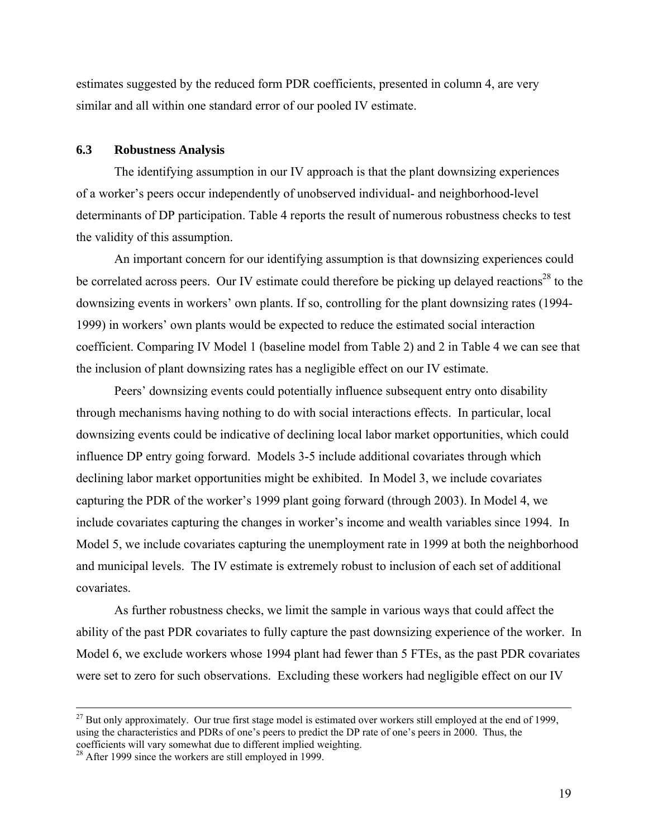estimates suggested by the reduced form PDR coefficients, presented in column 4, are very similar and all within one standard error of our pooled IV estimate.

### **6.3 Robustness Analysis**

The identifying assumption in our IV approach is that the plant downsizing experiences of a worker's peers occur independently of unobserved individual- and neighborhood-level determinants of DP participation. Table 4 reports the result of numerous robustness checks to test the validity of this assumption.

 An important concern for our identifying assumption is that downsizing experiences could be correlated across peers. Our IV estimate could therefore be picking up delayed reactions<sup>28</sup> to the downsizing events in workers' own plants. If so, controlling for the plant downsizing rates (1994- 1999) in workers' own plants would be expected to reduce the estimated social interaction coefficient. Comparing IV Model 1 (baseline model from Table 2) and 2 in Table 4 we can see that the inclusion of plant downsizing rates has a negligible effect on our IV estimate.

 Peers' downsizing events could potentially influence subsequent entry onto disability through mechanisms having nothing to do with social interactions effects. In particular, local downsizing events could be indicative of declining local labor market opportunities, which could influence DP entry going forward. Models 3-5 include additional covariates through which declining labor market opportunities might be exhibited. In Model 3, we include covariates capturing the PDR of the worker's 1999 plant going forward (through 2003). In Model 4, we include covariates capturing the changes in worker's income and wealth variables since 1994. In Model 5, we include covariates capturing the unemployment rate in 1999 at both the neighborhood and municipal levels. The IV estimate is extremely robust to inclusion of each set of additional covariates.

 As further robustness checks, we limit the sample in various ways that could affect the ability of the past PDR covariates to fully capture the past downsizing experience of the worker. In Model 6, we exclude workers whose 1994 plant had fewer than 5 FTEs, as the past PDR covariates were set to zero for such observations. Excluding these workers had negligible effect on our IV

 $^{27}$  But only approximately. Our true first stage model is estimated over workers still employed at the end of 1999, using the characteristics and PDRs of one's peers to predict the DP rate of one's peers in 2000. Thus, the coefficients will vary somewhat due to different implied weighting.

<sup>&</sup>lt;sup>28</sup> After 1999 since the workers are still employed in 1999.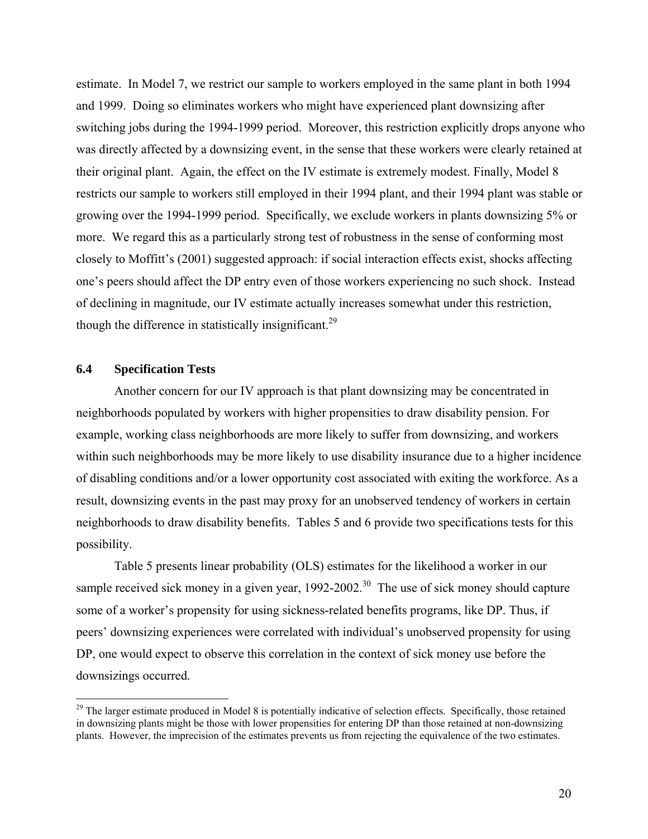estimate. In Model 7, we restrict our sample to workers employed in the same plant in both 1994 and 1999. Doing so eliminates workers who might have experienced plant downsizing after switching jobs during the 1994-1999 period. Moreover, this restriction explicitly drops anyone who was directly affected by a downsizing event, in the sense that these workers were clearly retained at their original plant. Again, the effect on the IV estimate is extremely modest. Finally, Model 8 restricts our sample to workers still employed in their 1994 plant, and their 1994 plant was stable or growing over the 1994-1999 period. Specifically, we exclude workers in plants downsizing 5% or more. We regard this as a particularly strong test of robustness in the sense of conforming most closely to Moffitt's (2001) suggested approach: if social interaction effects exist, shocks affecting one's peers should affect the DP entry even of those workers experiencing no such shock. Instead of declining in magnitude, our IV estimate actually increases somewhat under this restriction, though the difference in statistically insignificant.<sup>29</sup>

## **6.4 Specification Tests**

 $\overline{a}$ 

Another concern for our IV approach is that plant downsizing may be concentrated in neighborhoods populated by workers with higher propensities to draw disability pension. For example, working class neighborhoods are more likely to suffer from downsizing, and workers within such neighborhoods may be more likely to use disability insurance due to a higher incidence of disabling conditions and/or a lower opportunity cost associated with exiting the workforce. As a result, downsizing events in the past may proxy for an unobserved tendency of workers in certain neighborhoods to draw disability benefits. Tables 5 and 6 provide two specifications tests for this possibility.

Table 5 presents linear probability (OLS) estimates for the likelihood a worker in our sample received sick money in a given year,  $1992-2002$ <sup>30</sup> The use of sick money should capture some of a worker's propensity for using sickness-related benefits programs, like DP. Thus, if peers' downsizing experiences were correlated with individual's unobserved propensity for using DP, one would expect to observe this correlation in the context of sick money use before the downsizings occurred.

 $29$  The larger estimate produced in Model 8 is potentially indicative of selection effects. Specifically, those retained in downsizing plants might be those with lower propensities for entering DP than those retained at non-downsizing plants. However, the imprecision of the estimates prevents us from rejecting the equivalence of the two estimates.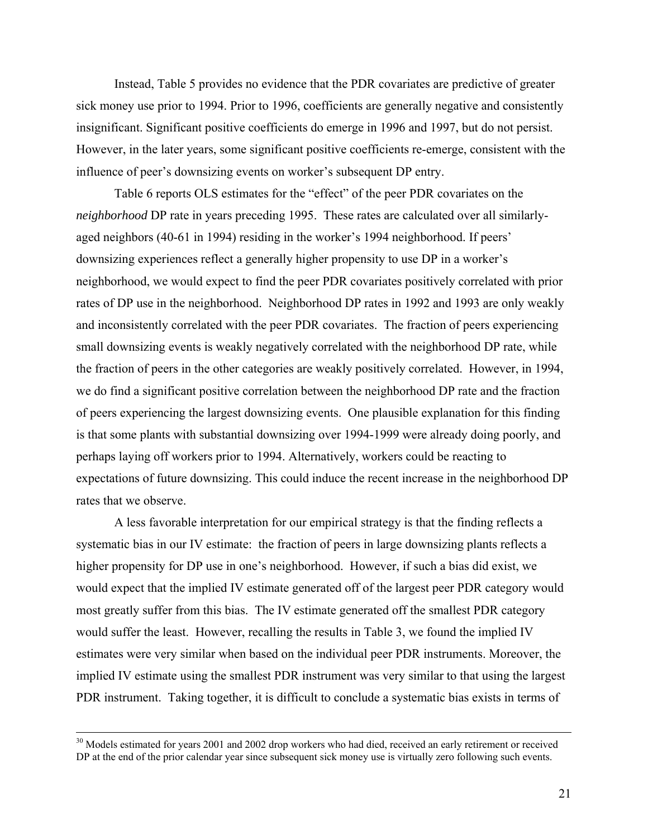Instead, Table 5 provides no evidence that the PDR covariates are predictive of greater sick money use prior to 1994. Prior to 1996, coefficients are generally negative and consistently insignificant. Significant positive coefficients do emerge in 1996 and 1997, but do not persist. However, in the later years, some significant positive coefficients re-emerge, consistent with the influence of peer's downsizing events on worker's subsequent DP entry.

Table 6 reports OLS estimates for the "effect" of the peer PDR covariates on the *neighborhood* DP rate in years preceding 1995. These rates are calculated over all similarlyaged neighbors (40-61 in 1994) residing in the worker's 1994 neighborhood. If peers' downsizing experiences reflect a generally higher propensity to use DP in a worker's neighborhood, we would expect to find the peer PDR covariates positively correlated with prior rates of DP use in the neighborhood. Neighborhood DP rates in 1992 and 1993 are only weakly and inconsistently correlated with the peer PDR covariates. The fraction of peers experiencing small downsizing events is weakly negatively correlated with the neighborhood DP rate, while the fraction of peers in the other categories are weakly positively correlated. However, in 1994, we do find a significant positive correlation between the neighborhood DP rate and the fraction of peers experiencing the largest downsizing events. One plausible explanation for this finding is that some plants with substantial downsizing over 1994-1999 were already doing poorly, and perhaps laying off workers prior to 1994. Alternatively, workers could be reacting to expectations of future downsizing. This could induce the recent increase in the neighborhood DP rates that we observe.

A less favorable interpretation for our empirical strategy is that the finding reflects a systematic bias in our IV estimate: the fraction of peers in large downsizing plants reflects a higher propensity for DP use in one's neighborhood. However, if such a bias did exist, we would expect that the implied IV estimate generated off of the largest peer PDR category would most greatly suffer from this bias. The IV estimate generated off the smallest PDR category would suffer the least. However, recalling the results in Table 3, we found the implied IV estimates were very similar when based on the individual peer PDR instruments. Moreover, the implied IV estimate using the smallest PDR instrument was very similar to that using the largest PDR instrument. Taking together, it is difficult to conclude a systematic bias exists in terms of

<sup>&</sup>lt;sup>30</sup> Models estimated for years 2001 and 2002 drop workers who had died, received an early retirement or received DP at the end of the prior calendar year since subsequent sick money use is virtually zero following such events.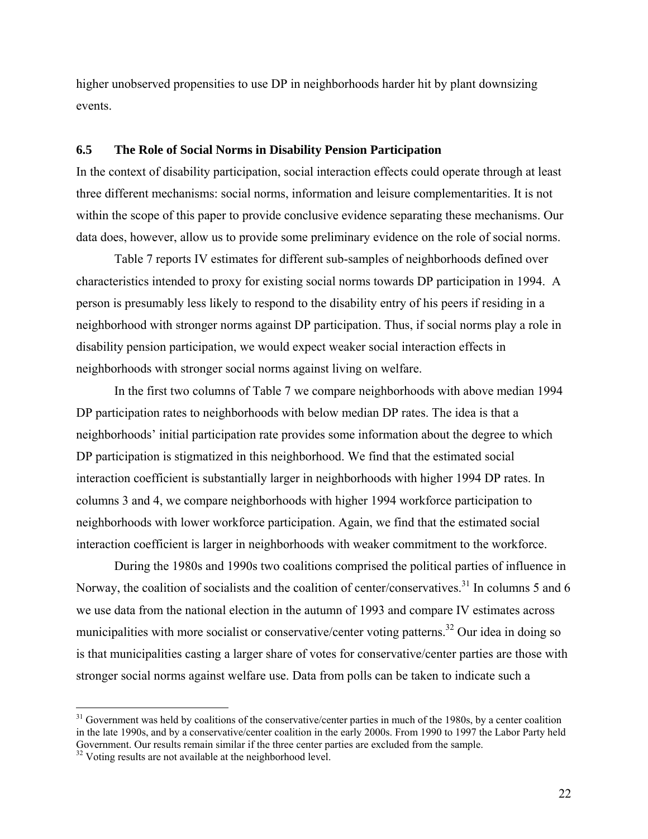higher unobserved propensities to use DP in neighborhoods harder hit by plant downsizing events.

#### **6.5 The Role of Social Norms in Disability Pension Participation**

In the context of disability participation, social interaction effects could operate through at least three different mechanisms: social norms, information and leisure complementarities. It is not within the scope of this paper to provide conclusive evidence separating these mechanisms. Our data does, however, allow us to provide some preliminary evidence on the role of social norms.

Table 7 reports IV estimates for different sub-samples of neighborhoods defined over characteristics intended to proxy for existing social norms towards DP participation in 1994. A person is presumably less likely to respond to the disability entry of his peers if residing in a neighborhood with stronger norms against DP participation. Thus, if social norms play a role in disability pension participation, we would expect weaker social interaction effects in neighborhoods with stronger social norms against living on welfare.

In the first two columns of Table 7 we compare neighborhoods with above median 1994 DP participation rates to neighborhoods with below median DP rates. The idea is that a neighborhoods' initial participation rate provides some information about the degree to which DP participation is stigmatized in this neighborhood. We find that the estimated social interaction coefficient is substantially larger in neighborhoods with higher 1994 DP rates. In columns 3 and 4, we compare neighborhoods with higher 1994 workforce participation to neighborhoods with lower workforce participation. Again, we find that the estimated social interaction coefficient is larger in neighborhoods with weaker commitment to the workforce.

 During the 1980s and 1990s two coalitions comprised the political parties of influence in Norway, the coalition of socialists and the coalition of center/conservatives.<sup>31</sup> In columns 5 and 6 we use data from the national election in the autumn of 1993 and compare IV estimates across municipalities with more socialist or conservative/center voting patterns.<sup>32</sup> Our idea in doing so is that municipalities casting a larger share of votes for conservative/center parties are those with stronger social norms against welfare use. Data from polls can be taken to indicate such a

 $\overline{a}$ 

 $31$  Government was held by coalitions of the conservative/center parties in much of the 1980s, by a center coalition in the late 1990s, and by a conservative/center coalition in the early 2000s. From 1990 to 1997 the Labor Party held Government. Our results remain similar if the three center parties are excluded from the sample.<br><sup>32</sup> Voting results are not available at the neighborhood level.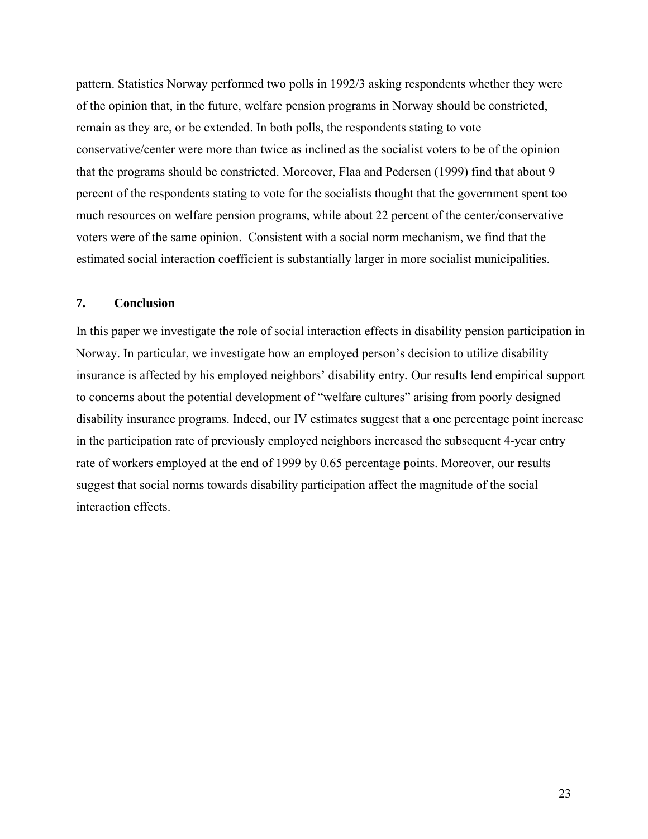pattern. Statistics Norway performed two polls in 1992/3 asking respondents whether they were of the opinion that, in the future, welfare pension programs in Norway should be constricted, remain as they are, or be extended. In both polls, the respondents stating to vote conservative/center were more than twice as inclined as the socialist voters to be of the opinion that the programs should be constricted. Moreover, Flaa and Pedersen (1999) find that about 9 percent of the respondents stating to vote for the socialists thought that the government spent too much resources on welfare pension programs, while about 22 percent of the center/conservative voters were of the same opinion. Consistent with a social norm mechanism, we find that the estimated social interaction coefficient is substantially larger in more socialist municipalities.

## **7. Conclusion**

In this paper we investigate the role of social interaction effects in disability pension participation in Norway. In particular, we investigate how an employed person's decision to utilize disability insurance is affected by his employed neighbors' disability entry*.* Our results lend empirical support to concerns about the potential development of "welfare cultures" arising from poorly designed disability insurance programs. Indeed, our IV estimates suggest that a one percentage point increase in the participation rate of previously employed neighbors increased the subsequent 4-year entry rate of workers employed at the end of 1999 by 0.65 percentage points. Moreover, our results suggest that social norms towards disability participation affect the magnitude of the social interaction effects.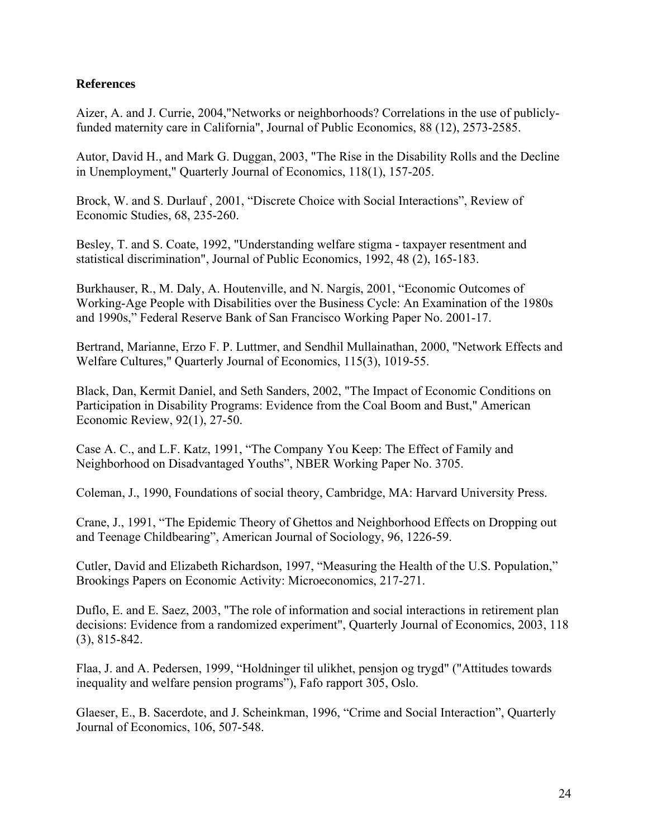## **References**

Aizer, A. and J. Currie, 2004,"Networks or neighborhoods? Correlations in the use of publiclyfunded maternity care in California", Journal of Public Economics, 88 (12), 2573-2585.

Autor, David H., and Mark G. Duggan, 2003, "The Rise in the Disability Rolls and the Decline in Unemployment," Quarterly Journal of Economics, 118(1), 157-205.

Brock, W. and S. Durlauf , 2001, "Discrete Choice with Social Interactions", Review of Economic Studies, 68, 235-260.

Besley, T. and S. Coate, 1992, "Understanding welfare stigma - taxpayer resentment and statistical discrimination", Journal of Public Economics, 1992, 48 (2), 165-183.

Burkhauser, R., M. Daly, A. Houtenville, and N. Nargis, 2001, "Economic Outcomes of Working-Age People with Disabilities over the Business Cycle: An Examination of the 1980s and 1990s," Federal Reserve Bank of San Francisco Working Paper No. 2001-17.

Bertrand, Marianne, Erzo F. P. Luttmer, and Sendhil Mullainathan, 2000, "Network Effects and Welfare Cultures," Quarterly Journal of Economics, 115(3), 1019-55.

Black, Dan, Kermit Daniel, and Seth Sanders, 2002, "The Impact of Economic Conditions on Participation in Disability Programs: Evidence from the Coal Boom and Bust," American Economic Review, 92(1), 27-50.

Case A. C., and L.F. Katz, 1991, "The Company You Keep: The Effect of Family and Neighborhood on Disadvantaged Youths", NBER Working Paper No. 3705.

Coleman, J., 1990, Foundations of social theory, Cambridge, MA: Harvard University Press.

Crane, J., 1991, "The Epidemic Theory of Ghettos and Neighborhood Effects on Dropping out and Teenage Childbearing", American Journal of Sociology, 96, 1226-59.

Cutler, David and Elizabeth Richardson, 1997, "Measuring the Health of the U.S. Population," Brookings Papers on Economic Activity: Microeconomics, 217-271.

Duflo, E. and E. Saez, 2003, "The role of information and social interactions in retirement plan decisions: Evidence from a randomized experiment", Quarterly Journal of Economics, 2003, 118 (3), 815-842.

Flaa, J. and A. Pedersen, 1999, "Holdninger til ulikhet, pensjon og trygd" ("Attitudes towards inequality and welfare pension programs"), Fafo rapport 305, Oslo.

Glaeser, E., B. Sacerdote, and J. Scheinkman, 1996, "Crime and Social Interaction", Quarterly Journal of Economics, 106, 507-548.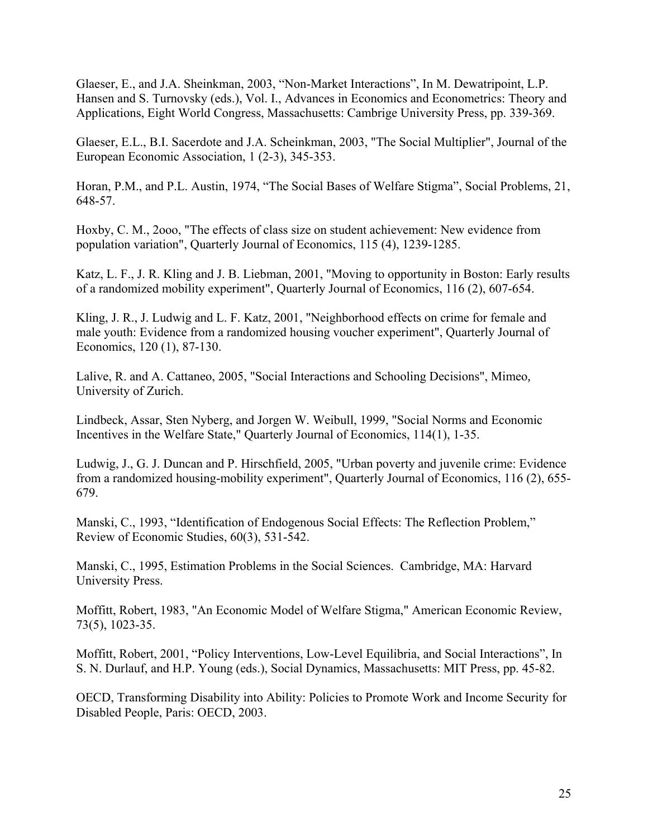Glaeser, E., and J.A. Sheinkman, 2003, "Non-Market Interactions", In M. Dewatripoint, L.P. Hansen and S. Turnovsky (eds.), Vol. I., Advances in Economics and Econometrics: Theory and Applications, Eight World Congress, Massachusetts: Cambrige University Press, pp. 339-369.

Glaeser, E.L., B.I. Sacerdote and J.A. Scheinkman, 2003, "The Social Multiplier", Journal of the European Economic Association, 1 (2-3), 345-353.

Horan, P.M., and P.L. Austin, 1974, "The Social Bases of Welfare Stigma", Social Problems, 21, 648-57.

Hoxby, C. M., 2ooo, "The effects of class size on student achievement: New evidence from population variation", Quarterly Journal of Economics, 115 (4), 1239-1285.

Katz, L. F., J. R. Kling and J. B. Liebman, 2001, "Moving to opportunity in Boston: Early results of a randomized mobility experiment", Quarterly Journal of Economics, 116 (2), 607-654.

Kling, J. R., J. Ludwig and L. F. Katz, 2001, "Neighborhood effects on crime for female and male youth: Evidence from a randomized housing voucher experiment", Quarterly Journal of Economics, 120 (1), 87-130.

Lalive, R. and A. Cattaneo, 2005, "Social Interactions and Schooling Decisions", Mimeo*,*  University of Zurich.

Lindbeck, Assar, Sten Nyberg, and Jorgen W. Weibull, 1999, "Social Norms and Economic Incentives in the Welfare State," Quarterly Journal of Economics, 114(1), 1-35.

Ludwig, J., G. J. Duncan and P. Hirschfield, 2005, "Urban poverty and juvenile crime: Evidence from a randomized housing-mobility experiment", Quarterly Journal of Economics, 116 (2), 655- 679.

Manski, C., 1993, "Identification of Endogenous Social Effects: The Reflection Problem," Review of Economic Studies, 60(3), 531-542.

Manski, C., 1995, Estimation Problems in the Social Sciences. Cambridge, MA: Harvard University Press.

Moffitt, Robert, 1983, "An Economic Model of Welfare Stigma," American Economic Review, 73(5), 1023-35.

Moffitt, Robert, 2001, "Policy Interventions, Low-Level Equilibria, and Social Interactions", In S. N. Durlauf, and H.P. Young (eds.), Social Dynamics, Massachusetts: MIT Press, pp. 45-82.

OECD, Transforming Disability into Ability: Policies to Promote Work and Income Security for Disabled People, Paris: OECD, 2003.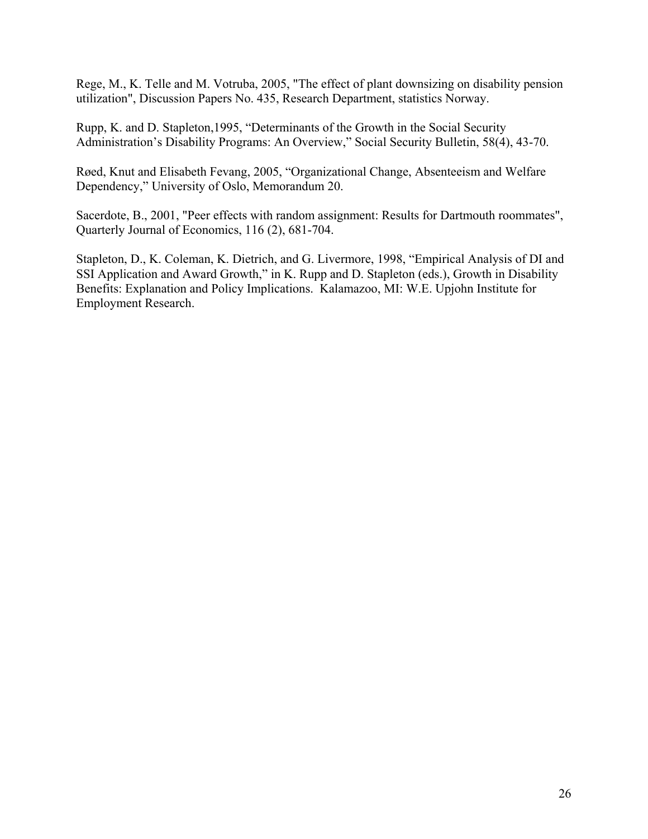Rege, M., K. Telle and M. Votruba, 2005, "The effect of plant downsizing on disability pension utilization", Discussion Papers No. 435, Research Department, statistics Norway.

Rupp, K. and D. Stapleton,1995, "Determinants of the Growth in the Social Security Administration's Disability Programs: An Overview," Social Security Bulletin, 58(4), 43-70.

Røed, Knut and Elisabeth Fevang, 2005, "Organizational Change, Absenteeism and Welfare Dependency," University of Oslo, Memorandum 20.

Sacerdote, B., 2001, "Peer effects with random assignment: Results for Dartmouth roommates", Quarterly Journal of Economics, 116 (2), 681-704.

Stapleton, D., K. Coleman, K. Dietrich, and G. Livermore, 1998, "Empirical Analysis of DI and SSI Application and Award Growth," in K. Rupp and D. Stapleton (eds.), Growth in Disability Benefits: Explanation and Policy Implications. Kalamazoo, MI: W.E. Upjohn Institute for Employment Research.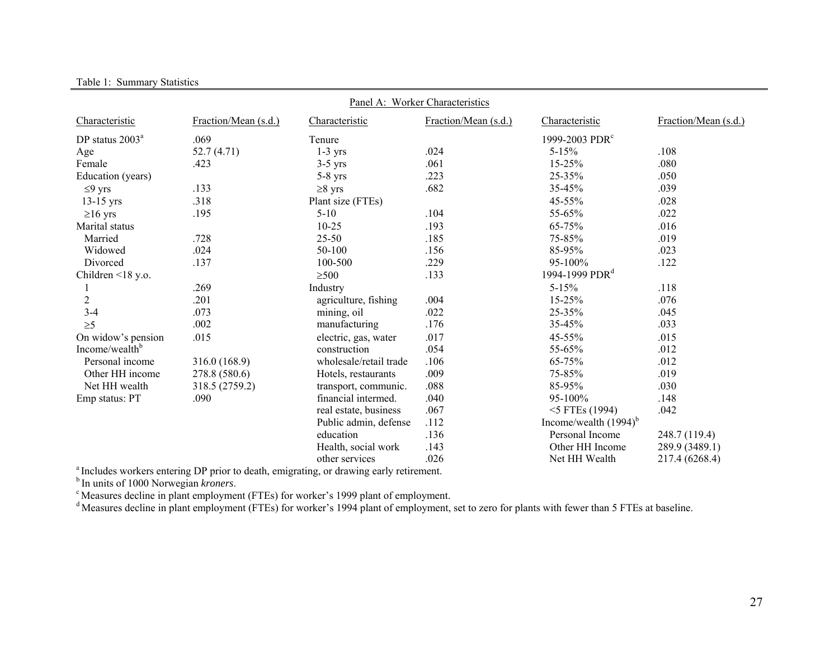| Panel A: Worker Characteristics |                      |                        |                      |                            |                      |  |  |  |
|---------------------------------|----------------------|------------------------|----------------------|----------------------------|----------------------|--|--|--|
| Characteristic                  | Fraction/Mean (s.d.) | Characteristic         | Fraction/Mean (s.d.) | Characteristic             | Fraction/Mean (s.d.) |  |  |  |
| DP status 2003 <sup>a</sup>     | .069                 | Tenure                 |                      | 1999-2003 PDR <sup>c</sup> |                      |  |  |  |
| Age                             | 52.7(4.71)           | $1-3$ yrs              | .024                 | $5 - 15%$                  | .108                 |  |  |  |
| Female                          | .423                 | $3-5$ yrs              | .061                 | 15-25%                     | .080                 |  |  |  |
| Education (years)               |                      | $5-8$ yrs              | .223                 | 25-35%                     | .050                 |  |  |  |
| $\leq$ 9 yrs                    | .133                 | $\geq 8$ yrs           | .682                 | 35-45%                     | .039                 |  |  |  |
| $13-15$ yrs                     | .318                 | Plant size (FTEs)      |                      | 45-55%                     | .028                 |  |  |  |
| $\geq 16$ yrs                   | .195                 | $5 - 10$               | .104                 | 55-65%                     | .022                 |  |  |  |
| Marital status                  |                      | $10 - 25$              | .193                 | 65-75%                     | .016                 |  |  |  |
| Married                         | .728                 | $25 - 50$              | .185                 | 75-85%                     | .019                 |  |  |  |
| Widowed                         | .024                 | 50-100                 | .156                 | 85-95%                     | .023                 |  |  |  |
| Divorced                        | .137                 | 100-500                | .229                 | 95-100%                    | .122                 |  |  |  |
| Children $\leq 18$ y.o.         |                      | $\geq 500$             | .133                 | 1994-1999 PDR <sup>d</sup> |                      |  |  |  |
|                                 | .269                 | Industry               |                      | $5 - 15%$                  | .118                 |  |  |  |
| $\overline{c}$                  | .201                 | agriculture, fishing   | .004                 | 15-25%                     | .076                 |  |  |  |
| $3-4$                           | .073                 | mining, oil            | .022                 | $25 - 35%$                 | .045                 |  |  |  |
| $\geq 5$                        | .002                 | manufacturing          | .176                 | 35-45%                     | .033                 |  |  |  |
| On widow's pension              | .015                 | electric, gas, water   | .017                 | 45-55%                     | .015                 |  |  |  |
| Income/wealth <sup>b</sup>      |                      | construction           | .054                 | 55-65%                     | .012                 |  |  |  |
| Personal income                 | 316.0 (168.9)        | wholesale/retail trade | .106                 | 65-75%                     | .012                 |  |  |  |
| Other HH income                 | 278.8 (580.6)        | Hotels, restaurants    | .009                 | 75-85%                     | .019                 |  |  |  |
| Net HH wealth                   | 318.5 (2759.2)       | transport, communic.   | .088                 | 85-95%                     | .030                 |  |  |  |
| Emp status: PT                  | .090                 | financial intermed.    | .040                 | 95-100%                    | .148                 |  |  |  |
|                                 |                      | real estate, business  | .067                 | $<$ 5 FTEs (1994)          | .042                 |  |  |  |
|                                 |                      | Public admin, defense  | .112                 | Income/wealth $(1994)^{6}$ |                      |  |  |  |
|                                 |                      | education              | .136                 | Personal Income            | 248.7 (119.4)        |  |  |  |
|                                 |                      | Health, social work    | .143                 | Other HH Income            | 289.9 (3489.1)       |  |  |  |
|                                 |                      | other services         | .026                 | Net HH Wealth              | 217.4 (6268.4)       |  |  |  |

Table 1: Summary Statistics

<sup>a</sup> Includes workers entering DP prior to death, emigrating, or drawing early retirement.

b In units of 1000 Norwegian *kroners*.

c Measures decline in plant employment (FTEs) for worker's 1999 plant of employment.

<sup>d</sup> Measures decline in plant employment (FTEs) for worker's 1994 plant of employment, set to zero for plants with fewer than 5 FTEs at baseline.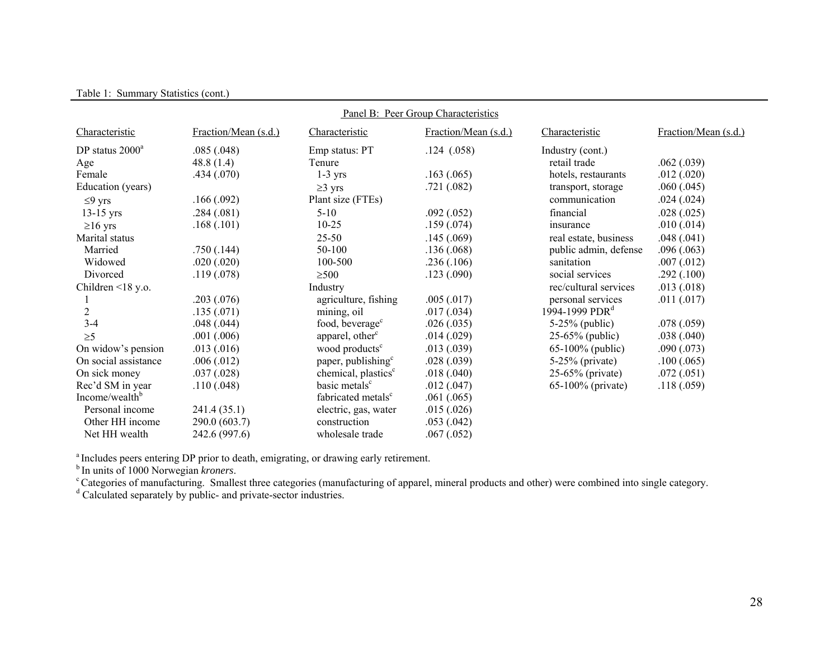| Panel B: Peer Group Characteristics |                      |                                 |                      |                            |                      |  |  |  |  |
|-------------------------------------|----------------------|---------------------------------|----------------------|----------------------------|----------------------|--|--|--|--|
| Characteristic                      | Fraction/Mean (s.d.) | Characteristic                  | Fraction/Mean (s.d.) | Characteristic             | Fraction/Mean (s.d.) |  |  |  |  |
| DP status 2000 <sup>a</sup>         | .085(.048)           | Emp status: PT                  | .124(0.058)          | Industry (cont.)           |                      |  |  |  |  |
| Age                                 | 48.8 $(1.4)$         | Tenure                          |                      | retail trade               | .062(.039)           |  |  |  |  |
| Female                              | .434(.070)           | $1-3$ yrs                       | .163(.065)           | hotels, restaurants        | .012(.020)           |  |  |  |  |
| Education (years)                   |                      | $\geq$ 3 yrs                    | .721(.082)           | transport, storage         | .060(.045)           |  |  |  |  |
| $\leq$ 9 yrs                        | .166(.092)           | Plant size (FTEs)               |                      | communication              | .024(.024)           |  |  |  |  |
| $13-15$ yrs                         | .284(.081)           | $5 - 10$                        | .092(.052)           | financial                  | .028(.025)           |  |  |  |  |
| $\geq 16$ yrs                       | .168(.101)           | $10 - 25$                       | .159(.074)           | insurance                  | .010(.014)           |  |  |  |  |
| Marital status                      |                      | $25 - 50$                       | .145(.069)           | real estate, business      | .048(.041)           |  |  |  |  |
| Married                             | .750(.144)           | 50-100                          | .136(.068)           | public admin, defense      | .096(.063)           |  |  |  |  |
| Widowed                             | .020(.020)           | 100-500                         | .236(.106)           | sanitation                 | .007(.012)           |  |  |  |  |
| Divorced                            | .119(.078)           | $\geq 500$                      | .123(.090)           | social services            | .292(.100)           |  |  |  |  |
| Children $\leq$ 18 y.o.             |                      | Industry                        |                      | rec/cultural services      | .013(.018)           |  |  |  |  |
|                                     | .203(.076)           | agriculture, fishing            | .005(.017)           | personal services          | .011(.017)           |  |  |  |  |
| $\overline{c}$                      | .135(.071)           | mining, oil                     | .017(.034)           | 1994-1999 PDR <sup>d</sup> |                      |  |  |  |  |
| $3-4$                               | .048(.044)           | food, beverage <sup>c</sup>     | .026(.035)           | $5-25%$ (public)           | .078(.059)           |  |  |  |  |
| $\geq 5$                            | .001(.006)           | apparel, other <sup>c</sup>     | .014(.029)           | $25-65%$ (public)          | .038(.040)           |  |  |  |  |
| On widow's pension                  | .013(.016)           | wood products <sup>c</sup>      | .013(.039)           | $65-100\%$ (public)        | .090(.073)           |  |  |  |  |
| On social assistance                | .006(.012)           | paper, publishing <sup>c</sup>  | .028(.039)           | $5-25%$ (private)          | .100(.065)           |  |  |  |  |
| On sick money                       | .037(.028)           | chemical, plastics <sup>c</sup> | .018(.040)           | $25-65%$ (private)         | .072(.051)           |  |  |  |  |
| Rec'd SM in year                    | .110(.048)           | basic metals <sup>c</sup>       | .012(.047)           | 65-100% (private)          | .118(.059)           |  |  |  |  |
| Income/wealth <sup>b</sup>          |                      | fabricated metals <sup>c</sup>  | .061(.065)           |                            |                      |  |  |  |  |
| Personal income                     | 241.4 (35.1)         | electric, gas, water            | .015(.026)           |                            |                      |  |  |  |  |
| Other HH income                     | 290.0 (603.7)        | construction                    | .053(.042)           |                            |                      |  |  |  |  |
| Net HH wealth                       | 242.6 (997.6)        | wholesale trade                 | .067(.052)           |                            |                      |  |  |  |  |

Table 1: Summary Statistics (cont.)

<sup>a</sup> Includes peers entering DP prior to death, emigrating, or drawing early retirement.

b In units of 1000 Norwegian *kroners*.

<sup>c</sup> Categories of manufacturing. Smallest three categories (manufacturing of apparel, mineral products and other) were combined into single category.

<sup>d</sup> Calculated separately by public- and private-sector industries.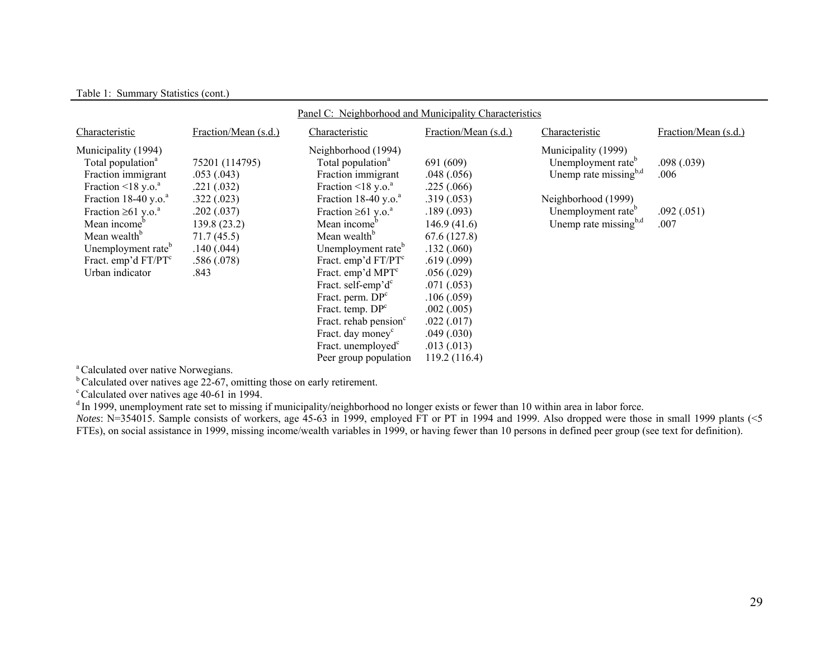#### Table 1: Summary Statistics (cont.)

| Panel C: Neighborhood and Municipality Characteristics                                                                                                                                                                                                                                                                                 |                                                                                                                                            |                                                                                                                                                                                                                                                                                                                                                                                                                                                                                                                                            |                                                                                                                                                                                                                                |                                                                                                                                                                                    |                                          |  |
|----------------------------------------------------------------------------------------------------------------------------------------------------------------------------------------------------------------------------------------------------------------------------------------------------------------------------------------|--------------------------------------------------------------------------------------------------------------------------------------------|--------------------------------------------------------------------------------------------------------------------------------------------------------------------------------------------------------------------------------------------------------------------------------------------------------------------------------------------------------------------------------------------------------------------------------------------------------------------------------------------------------------------------------------------|--------------------------------------------------------------------------------------------------------------------------------------------------------------------------------------------------------------------------------|------------------------------------------------------------------------------------------------------------------------------------------------------------------------------------|------------------------------------------|--|
| Characteristic                                                                                                                                                                                                                                                                                                                         | Fraction/Mean (s.d.)                                                                                                                       | Characteristic                                                                                                                                                                                                                                                                                                                                                                                                                                                                                                                             | Fraction/Mean (s.d.)                                                                                                                                                                                                           | Characteristic                                                                                                                                                                     | Fraction/Mean (s.d.)                     |  |
| Municipality (1994)<br>Total population <sup>a</sup><br>Fraction immigrant<br>Fraction $\leq 18$ y.o. <sup>a</sup><br>Fraction $18-40$ y.o. <sup>a</sup><br>Fraction $\geq 61$ y.o. <sup>a</sup><br>Mean income <sup>b</sup><br>Mean wealth <sup>b</sup><br>Unemployment rate <sup>b</sup><br>Fract. emp'd $FT/PTc$<br>Urban indicator | 75201 (114795)<br>.053(.043)<br>.221(.032)<br>.322(.023)<br>.202 (.037)<br>139.8 (23.2)<br>71.7(45.5)<br>.140(.044)<br>.586 (.078)<br>.843 | Neighborhood (1994)<br>Total population <sup>a</sup><br>Fraction immigrant<br>Fraction $\leq$ 18 y.o. <sup>a</sup><br>Fraction $18-40$ y.o. <sup>a</sup><br>Fraction $\geq 61$ y.o. <sup>a</sup><br>Mean income <sup>b</sup><br>Mean wealth <sup>b</sup><br>Unemployment rate <sup>b</sup><br>Fract. emp'd $FT/PTc$<br>Fract. emp'd MPT <sup>c</sup><br>Fract. self-emp'd <sup>c</sup><br>Fract. perm. $DPc$<br>Fract. temp. $DPc$<br>Fract. rehab pension <sup>c</sup><br>Fract. day money <sup>c</sup><br>Fract. unemployed <sup>c</sup> | 691 (609)<br>.048(.056)<br>.225(.066)<br>.319(.053)<br>.189(.093)<br>146.9(41.6)<br>67.6(127.8)<br>.132(.060)<br>.619 (.099)<br>.056(.029)<br>.071(.053)<br>.106(.059)<br>.002(.005)<br>.022(.017)<br>.049(.030)<br>.013(.013) | Municipality (1999)<br>Unemployment rate <sup>b</sup><br>Unemp rate missing <sup>b,d</sup><br>Neighborhood (1999)<br>Unemployment rate <sup>b</sup><br>Unemp rate missing $^{b,d}$ | .098(.039)<br>.006<br>.092(.051)<br>.007 |  |
|                                                                                                                                                                                                                                                                                                                                        |                                                                                                                                            | Peer group population                                                                                                                                                                                                                                                                                                                                                                                                                                                                                                                      | 119.2(116.4)                                                                                                                                                                                                                   |                                                                                                                                                                                    |                                          |  |

<sup>a</sup> Calculated over native Norwegians.

 $b^b$  Calculated over natives age 22-67, omitting those on early retirement.

 $\textdegree$  Calculated over natives age 40-61 in 1994.

<sup>d</sup> In 1999, unemployment rate set to missing if municipality/neighborhood no longer exists or fewer than 10 within area in labor force.

*Notes*: N=354015. Sample consists of workers, age 45-63 in 1999, employed FT or PT in 1994 and 1999. Also dropped were those in small 1999 plants (<5 FTEs), on social assistance in 1999, missing income/wealth variables in 1999, or having fewer than 10 persons in defined peer group (see text for definition).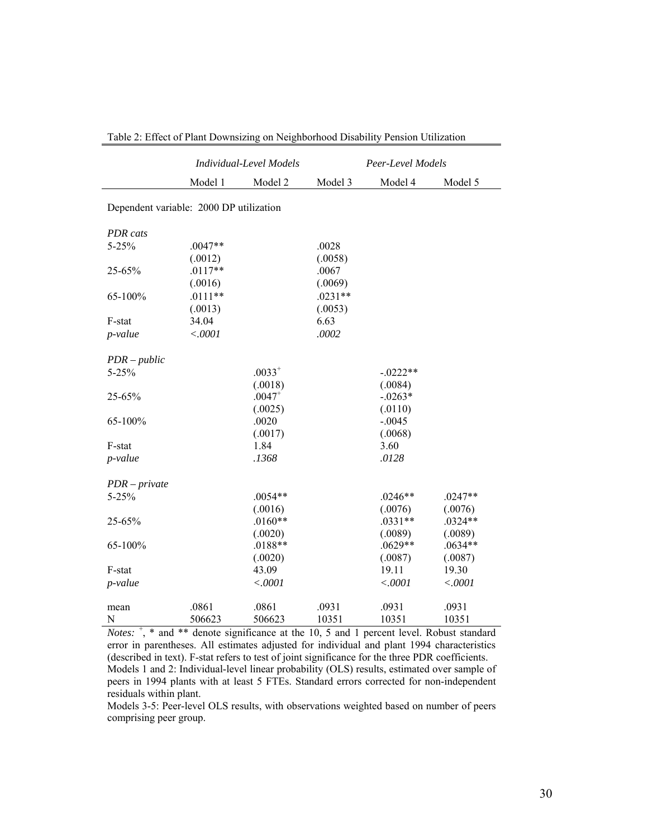|                                                                                                                                       |                                     | <b>Individual-Level Models</b>                                                                                                                                    | Peer-Level Models               |                                                                                                                                                                              |                                                                                    |  |  |  |  |
|---------------------------------------------------------------------------------------------------------------------------------------|-------------------------------------|-------------------------------------------------------------------------------------------------------------------------------------------------------------------|---------------------------------|------------------------------------------------------------------------------------------------------------------------------------------------------------------------------|------------------------------------------------------------------------------------|--|--|--|--|
|                                                                                                                                       | Model 1                             | Model 2                                                                                                                                                           | Model 3                         | Model 4                                                                                                                                                                      | Model 5                                                                            |  |  |  |  |
| Dependent variable: 2000 DP utilization                                                                                               |                                     |                                                                                                                                                                   |                                 |                                                                                                                                                                              |                                                                                    |  |  |  |  |
| <b>PDR</b> cats                                                                                                                       |                                     |                                                                                                                                                                   |                                 |                                                                                                                                                                              |                                                                                    |  |  |  |  |
| $5 - 25%$                                                                                                                             | $.0047**$                           |                                                                                                                                                                   | .0028                           |                                                                                                                                                                              |                                                                                    |  |  |  |  |
|                                                                                                                                       | (.0012)                             |                                                                                                                                                                   | (.0058)                         |                                                                                                                                                                              |                                                                                    |  |  |  |  |
| 25-65%                                                                                                                                | $.0117**$                           |                                                                                                                                                                   | .0067                           |                                                                                                                                                                              |                                                                                    |  |  |  |  |
|                                                                                                                                       | (.0016)                             |                                                                                                                                                                   | (.0069)                         |                                                                                                                                                                              |                                                                                    |  |  |  |  |
| 65-100%                                                                                                                               | $.0111**$                           |                                                                                                                                                                   | $.0231**$                       |                                                                                                                                                                              |                                                                                    |  |  |  |  |
|                                                                                                                                       | (.0013)                             |                                                                                                                                                                   | (.0053)                         |                                                                                                                                                                              |                                                                                    |  |  |  |  |
|                                                                                                                                       |                                     |                                                                                                                                                                   |                                 |                                                                                                                                                                              |                                                                                    |  |  |  |  |
|                                                                                                                                       |                                     |                                                                                                                                                                   |                                 |                                                                                                                                                                              |                                                                                    |  |  |  |  |
|                                                                                                                                       |                                     |                                                                                                                                                                   |                                 |                                                                                                                                                                              |                                                                                    |  |  |  |  |
|                                                                                                                                       |                                     |                                                                                                                                                                   |                                 |                                                                                                                                                                              |                                                                                    |  |  |  |  |
|                                                                                                                                       |                                     |                                                                                                                                                                   |                                 |                                                                                                                                                                              |                                                                                    |  |  |  |  |
|                                                                                                                                       |                                     |                                                                                                                                                                   |                                 |                                                                                                                                                                              |                                                                                    |  |  |  |  |
|                                                                                                                                       |                                     |                                                                                                                                                                   |                                 |                                                                                                                                                                              |                                                                                    |  |  |  |  |
|                                                                                                                                       |                                     |                                                                                                                                                                   |                                 |                                                                                                                                                                              |                                                                                    |  |  |  |  |
|                                                                                                                                       |                                     |                                                                                                                                                                   |                                 |                                                                                                                                                                              |                                                                                    |  |  |  |  |
|                                                                                                                                       |                                     |                                                                                                                                                                   |                                 |                                                                                                                                                                              |                                                                                    |  |  |  |  |
|                                                                                                                                       |                                     |                                                                                                                                                                   |                                 |                                                                                                                                                                              |                                                                                    |  |  |  |  |
|                                                                                                                                       |                                     |                                                                                                                                                                   |                                 |                                                                                                                                                                              |                                                                                    |  |  |  |  |
| $PDR - private$                                                                                                                       |                                     |                                                                                                                                                                   |                                 |                                                                                                                                                                              |                                                                                    |  |  |  |  |
| $5 - 25%$                                                                                                                             |                                     | $.0054**$                                                                                                                                                         |                                 | $.0246**$                                                                                                                                                                    | $.0247**$                                                                          |  |  |  |  |
|                                                                                                                                       |                                     | (.0016)                                                                                                                                                           |                                 | (.0076)                                                                                                                                                                      | (.0076)                                                                            |  |  |  |  |
| 25-65%                                                                                                                                |                                     |                                                                                                                                                                   |                                 |                                                                                                                                                                              |                                                                                    |  |  |  |  |
|                                                                                                                                       |                                     | (.0020)                                                                                                                                                           |                                 |                                                                                                                                                                              |                                                                                    |  |  |  |  |
|                                                                                                                                       |                                     |                                                                                                                                                                   |                                 |                                                                                                                                                                              |                                                                                    |  |  |  |  |
|                                                                                                                                       |                                     |                                                                                                                                                                   |                                 |                                                                                                                                                                              |                                                                                    |  |  |  |  |
|                                                                                                                                       |                                     |                                                                                                                                                                   |                                 |                                                                                                                                                                              |                                                                                    |  |  |  |  |
|                                                                                                                                       |                                     |                                                                                                                                                                   |                                 |                                                                                                                                                                              |                                                                                    |  |  |  |  |
|                                                                                                                                       |                                     |                                                                                                                                                                   |                                 |                                                                                                                                                                              |                                                                                    |  |  |  |  |
|                                                                                                                                       |                                     |                                                                                                                                                                   |                                 |                                                                                                                                                                              |                                                                                    |  |  |  |  |
| F-stat<br>p-value<br>$PDR-public$<br>$5 - 25%$<br>25-65%<br>65-100%<br>F-stat<br>p-value<br>65-100%<br>F-stat<br>p-value<br>mean<br>N | 34.04<br>< .0001<br>.0861<br>506623 | $.0033^{+}$<br>(.0018)<br>$.0047^{+}$<br>(.0025)<br>.0020<br>(.0017)<br>1.84<br>.1368<br>$.0160**$<br>$.0188**$<br>(.0020)<br>43.09<br>< .0001<br>.0861<br>506623 | 6.63<br>.0002<br>.0931<br>10351 | $-0.0222**$<br>(.0084)<br>$-.0263*$<br>(.0110)<br>$-.0045$<br>(.0068)<br>3.60<br>.0128<br>$.0331**$<br>(.0089)<br>$.0629**$<br>(.0087)<br>19.11<br>< .0001<br>.0931<br>10351 | $.0324**$<br>(.0089)<br>$.0634**$<br>(.0087)<br>19.30<br>< .0001<br>.0931<br>10351 |  |  |  |  |

Table 2: Effect of Plant Downsizing on Neighborhood Disability Pension Utilization

*Notes*:  $\frac{1}{x}$ ,  $*$  and  $**$  denote significance at the 10, 5 and 1 percent level. Robust standard error in parentheses. All estimates adjusted for individual and plant 1994 characteristics (described in text). F-stat refers to test of joint significance for the three PDR coefficients.

Models 1 and 2: Individual-level linear probability (OLS) results, estimated over sample of peers in 1994 plants with at least 5 FTEs. Standard errors corrected for non-independent residuals within plant.

Models 3-5: Peer-level OLS results, with observations weighted based on number of peers comprising peer group.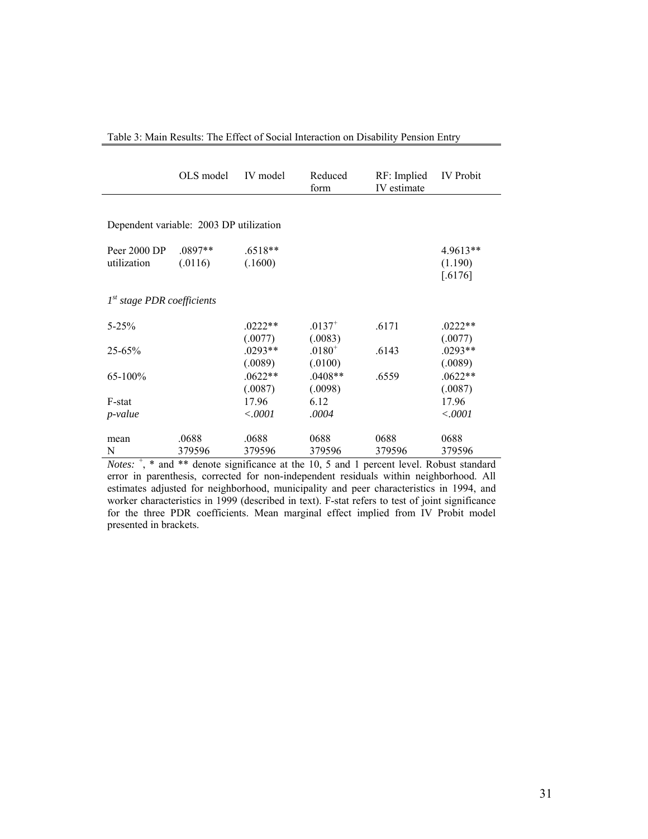|                                         | OLS model | IV model  | Reduced<br>form | RF: Implied<br>IV estimate | <b>IV</b> Probit   |
|-----------------------------------------|-----------|-----------|-----------------|----------------------------|--------------------|
|                                         |           |           |                 |                            |                    |
| Dependent variable: 2003 DP utilization |           |           |                 |                            |                    |
| Peer 2000 DP                            | $.0897**$ | .6518**   |                 |                            | $4.9613**$         |
| utilization                             | (.0116)   | (.1600)   |                 |                            | (1.190)<br>[.6176] |
| 1 <sup>st</sup> stage PDR coefficients  |           |           |                 |                            |                    |
| $5 - 25%$                               |           | $.0222**$ | $.0137^{+}$     | .6171                      | $.0222**$          |
|                                         |           | (.0077)   | (.0083)         |                            | (.0077)            |
| $25 - 65%$                              |           | $.0293**$ | $.0180^{+}$     | .6143                      | .0293**            |
|                                         |           | (.0089)   | (.0100)         |                            | (.0089)            |
| $65 - 100\%$                            |           | $.0622**$ | $.0408**$       | .6559                      | $.0622**$          |
|                                         |           | (.0087)   | (.0098)         |                            | (.0087)            |
| F-stat                                  |           | 17.96     | 6.12            |                            | 17.96              |
| p-value                                 |           | <.0001    | .0004           |                            | < .0001            |
| mean                                    | .0688     | .0688     | 0688            | 0688                       | 0688               |
| N<br>ᆠ                                  | 379596    | 379596    | 379596          | 379596                     | 379596             |

Table 3: Main Results: The Effect of Social Interaction on Disability Pension Entry

*Notes*:  $\frac{1}{x}$ ,  $*$  and  $**$  denote significance at the 10, 5 and 1 percent level. Robust standard error in parenthesis, corrected for non-independent residuals within neighborhood. All estimates adjusted for neighborhood, municipality and peer characteristics in 1994, and worker characteristics in 1999 (described in text). F-stat refers to test of joint significance for the three PDR coefficients. Mean marginal effect implied from IV Probit model presented in brackets.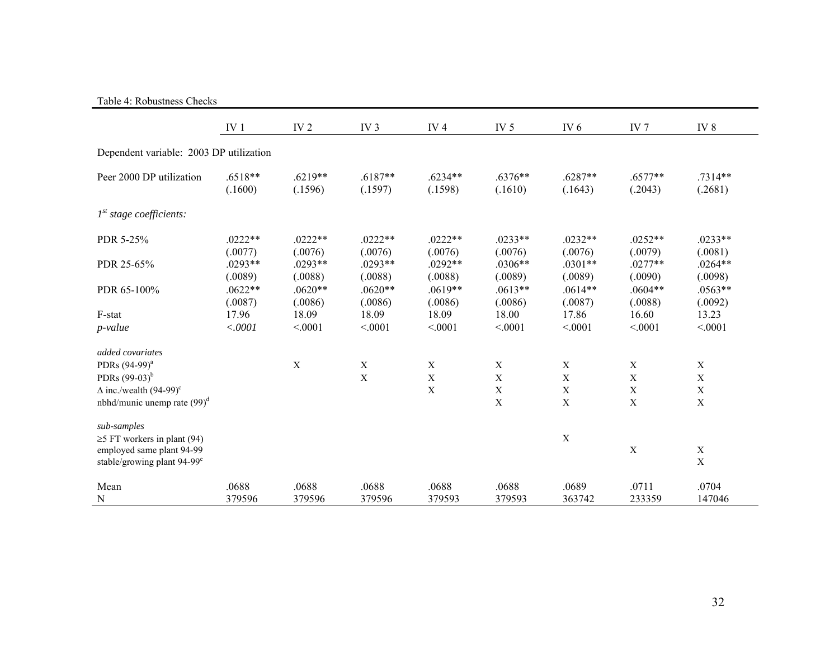#### Table 4: Robustness Checks

|                                                                                                           | IV <sub>1</sub>      | IV <sub>2</sub>      | IV <sub>3</sub>      | IV $4$               | IV <sub>5</sub>      | IV <sub>6</sub>      | IV <sub>7</sub>           | IV <sub>8</sub>            |
|-----------------------------------------------------------------------------------------------------------|----------------------|----------------------|----------------------|----------------------|----------------------|----------------------|---------------------------|----------------------------|
| Dependent variable: 2003 DP utilization                                                                   |                      |                      |                      |                      |                      |                      |                           |                            |
| Peer 2000 DP utilization                                                                                  | $.6518**$<br>(.1600) | $.6219**$<br>(.1596) | $.6187**$<br>(.1597) | $.6234**$<br>(.1598) | $.6376**$<br>(.1610) | $.6287**$<br>(.1643) | $.6577**$<br>(.2043)      | .7314**<br>(.2681)         |
| I <sup>st</sup> stage coefficients:                                                                       |                      |                      |                      |                      |                      |                      |                           |                            |
| PDR 5-25%                                                                                                 | $.0222**$<br>(.0077) | $.0222**$<br>(.0076) | $.0222**$<br>(.0076) | $.0222**$<br>(.0076) | $.0233**$<br>(.0076) | $.0232**$<br>(.0076) | $.0252**$<br>(.0079)      | $.0233**$<br>(.0081)       |
| PDR 25-65%                                                                                                | $.0293**$<br>(.0089) | $.0293**$<br>(.0088) | $.0293**$<br>(.0088) | $.0292**$<br>(.0088) | $.0306**$<br>(.0089) | $.0301**$<br>(.0089) | $.0277**$<br>(.0090)      | $.0264**$<br>(.0098)       |
| PDR 65-100%                                                                                               | $.0622**$<br>(.0087) | $.0620**$<br>(.0086) | $.0620**$<br>(.0086) | $.0619**$<br>(.0086) | $.0613**$<br>(.0086) | $.0614**$<br>(.0087) | $.0604**$<br>(.0088)      | $.0563**$<br>(.0092)       |
| F-stat<br>$p$ -value                                                                                      | 17.96<br>< .0001     | 18.09<br>< 0001      | 18.09<br>< 0001      | 18.09<br>< 0001      | 18.00<br>< 0001      | 17.86<br>< 0001      | 16.60<br>< 0001           | 13.23<br>< 0001            |
| added covariates                                                                                          |                      |                      |                      |                      |                      |                      |                           |                            |
| PDRs (94-99) <sup>a</sup>                                                                                 |                      | $\mathbf X$          | $\mathbf X$          | $\mathbf X$          | $\mathbf X$          | $\mathbf X$          | $\mathbf X$               | $\mathbf X$                |
| PDRs $(99-03)^b$                                                                                          |                      |                      | $\mathbf X$          | $\mathbf X$          | $\mathbf X$          | $\mathbf X$          | $\mathbf X$               | $\mathbf X$                |
| $\Delta$ inc./wealth (94-99) <sup>c</sup>                                                                 |                      |                      |                      | $\mathbf X$          | $\mathbf X$          | $\mathbf X$          | X                         | $\mathbf X$                |
| nbhd/munic unemp rate $(99)^d$                                                                            |                      |                      |                      |                      | $\mathbf X$          | $\mathbf X$          | $\boldsymbol{\mathrm{X}}$ | $\mathbf X$                |
| sub-samples                                                                                               |                      |                      |                      |                      |                      | $\mathbf X$          |                           |                            |
| $\geq$ 5 FT workers in plant (94)<br>employed same plant 94-99<br>stable/growing plant 94-99 <sup>e</sup> |                      |                      |                      |                      |                      |                      | $\mathbf X$               | $\mathbf X$<br>$\mathbf X$ |
| Mean<br>N                                                                                                 | .0688<br>379596      | .0688<br>379596      | .0688<br>379596      | .0688<br>379593      | .0688<br>379593      | .0689<br>363742      | .0711<br>233359           | .0704<br>147046            |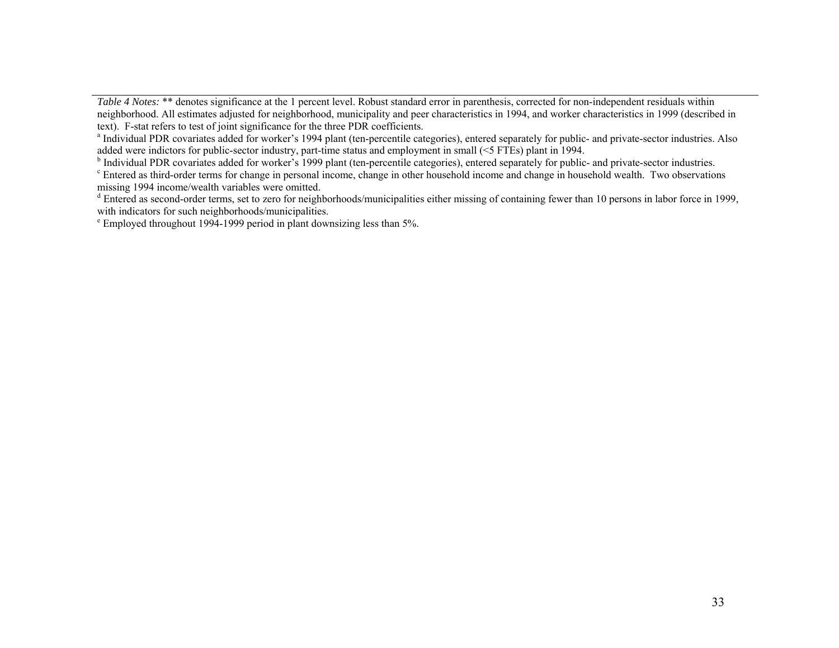*Table 4 Notes:* \*\* denotes significance at the 1 percent level. Robust standard error in parenthesis, corrected for non-independent residuals within neighborhood. All estimates adjusted for neighborhood, municipality and peer characteristics in 1994, and worker characteristics in 1999 (described in text). F-stat refers to test of joint significance for the three PDR co

<sup>a</sup> Individual PDR covariates added for worker's 1994 plant (ten-percentile categories), entered separately for public- and private-sector industries. Also added were indictors for public-sector industry, part-time status and employment in small (<5 FTEs) plant in 1994.<br><sup>b</sup> Individual PDR covariates added for worker's 1999 plant (ten-percentile categories), entered separately

<sup>c</sup> Entered as third-order terms for change in personal income, change in other household income and change in household wealth. Two observations missing 1994 income/wealth variables were omitted.

<sup>d</sup> Entered as second-order terms, set to zero for neighborhoods/municipalities either missing of containing fewer than 10 persons in labor force in 1999, with indicators for such neighborhoods/municipalities.

e Employed throughout 1994-1999 period in plant downsizing less than 5%.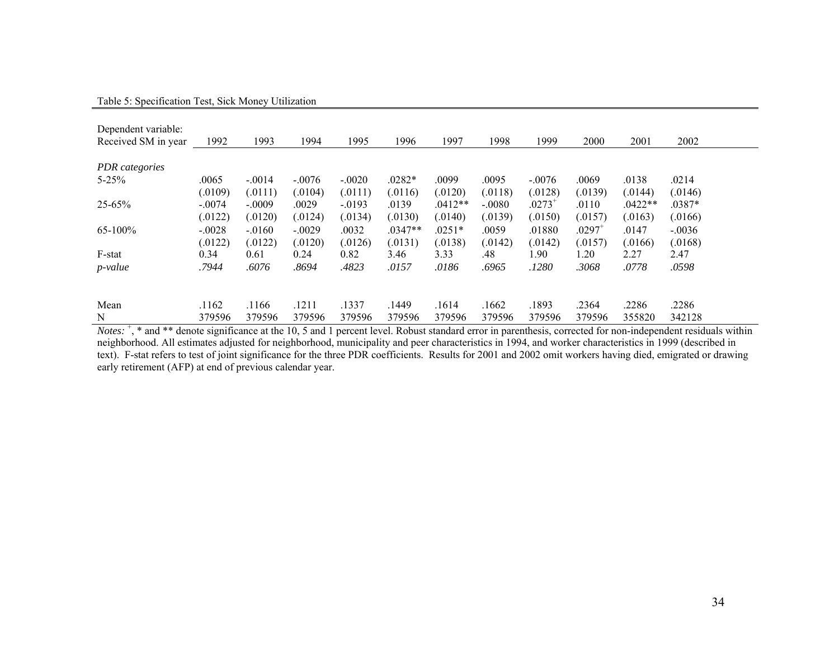| Dependent variable:<br>Received SM in year | 1992     | 1993     | 1994     | 1995      | 1996      | 1997      | 1998     | 1999        | 2000                 | 2001      | 2002     |
|--------------------------------------------|----------|----------|----------|-----------|-----------|-----------|----------|-------------|----------------------|-----------|----------|
| PDR categories                             |          |          |          |           |           |           |          |             |                      |           |          |
| $5 - 25%$                                  | .0065    | $-.0014$ | $-.0076$ | $-.0020$  | $.0282*$  | .0099     | .0095    | $-.0076$    | .0069                | .0138     | .0214    |
|                                            | (.0109)  | (.0111)  | (.0104)  | (.0111)   | (.0116)   | (0120)    | (.0118)  | (.0128)     | (.0139)              | (.0144)   | (.0146)  |
| $25 - 65%$                                 | $-.0074$ | $-.0009$ | .0029    | $-0.0193$ | .0139     | $.0412**$ | $-.0080$ | $.0273^{+}$ | .0110                | $.0422**$ | $.0387*$ |
|                                            | (.0122)  | (.0120)  | (.0124)  | (.0134)   | (.0130)   | (.0140)   | (.0139)  | (.0150)     | (.0157)              | (.0163)   | (.0166)  |
| 65-100%                                    | $-.0028$ | $-.0160$ | $-.0029$ | .0032     | $.0347**$ | $.0251*$  | .0059    | .01880      | $.0297$ <sup>+</sup> | .0147     | $-.0036$ |
|                                            | (.0122)  | (.0122)  | (.0120)  | (.0126)   | (.0131)   | (.0138)   | (.0142)  | (.0142)     | (.0157)              | (.0166)   | (.0168)  |
| F-stat                                     | 0.34     | 0.61     | 0.24     | 0.82      | 3.46      | 3.33      | .48      | 1.90        | 1.20                 | 2.27      | 2.47     |
| <i>p</i> -value                            | .7944    | .6076    | .8694    | .4823     | .0157     | .0186     | .6965    | .1280       | .3068                | .0778     | .0598    |
| Mean                                       | .1162    | .1166    | .1211    | .1337     | .1449     | .1614     | .1662    | .1893       | .2364                | .2286     | .2286    |
| N                                          | 379596   | 379596   | 379596   | 379596    | 379596    | 379596    | 379596   | 379596      | 379596               | 355820    | 342128   |

*Notes*: <sup>+</sup>, \* and \*\* denote significance at the 10, 5 and 1 percent level. Robust standard error in parenthesis, corrected for non-independent residuals within neighborhood. All estimates adjusted for neighborhood, municipality and peer characteristics in 1994, and worker characteristics in 1999 (described in text). F-stat refers to test of joint significance for the three PDR coefficients. Results for 2001 and 2002 omit workers having died, emigrated or drawing early retirement (AFP) at end of previous calendar year.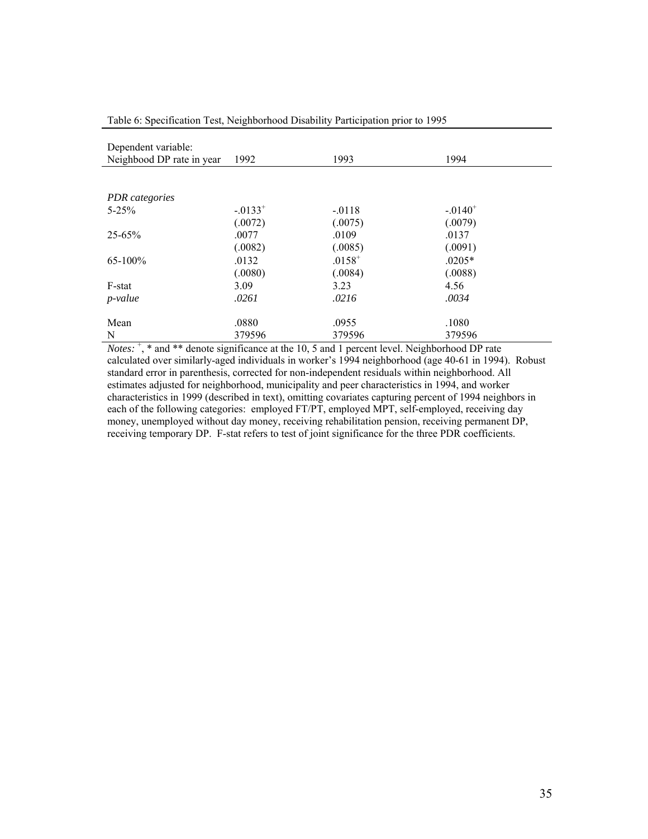| Dependent variable:<br>Neighbood DP rate in year | 1992          | 1993        | 1994      |
|--------------------------------------------------|---------------|-------------|-----------|
|                                                  |               |             |           |
| PDR categories                                   |               |             |           |
| $5 - 25%$                                        | $-0.0133^{+}$ | $-0118$     | $-.0140+$ |
|                                                  | (.0072)       | (.0075)     | (.0079)   |
| $25 - 65%$                                       | .0077         | .0109       | .0137     |
|                                                  | (.0082)       | (.0085)     | (.0091)   |
| 65-100%                                          | .0132         | $.0158^{+}$ | $.0205*$  |
|                                                  | (.0080)       | (.0084)     | (.0088)   |
| F-stat                                           | 3.09          | 3.23        | 4.56      |
| $p$ -value                                       | .0261         | .0216       | .0034     |
| Mean                                             | .0880         | .0955       | .1080     |
| N                                                | 379596        | 379596      | 379596    |

Table 6: Specification Test, Neighborhood Disability Participation prior to 1995

*Notes*:  $\dot{ }$ ,  $*$  and  $**$  denote significance at the 10, 5 and 1 percent level. Neighborhood DP rate calculated over similarly-aged individuals in worker's 1994 neighborhood (age 40-61 in 1994). Robust standard error in parenthesis, corrected for non-independent residuals within neighborhood. All estimates adjusted for neighborhood, municipality and peer characteristics in 1994, and worker characteristics in 1999 (described in text), omitting covariates capturing percent of 1994 neighbors in each of the following categories: employed FT/PT, employed MPT, self-employed, receiving day money, unemployed without day money, receiving rehabilitation pension, receiving permanent DP, receiving temporary DP. F-stat refers to test of joint significance for the three PDR coefficients.